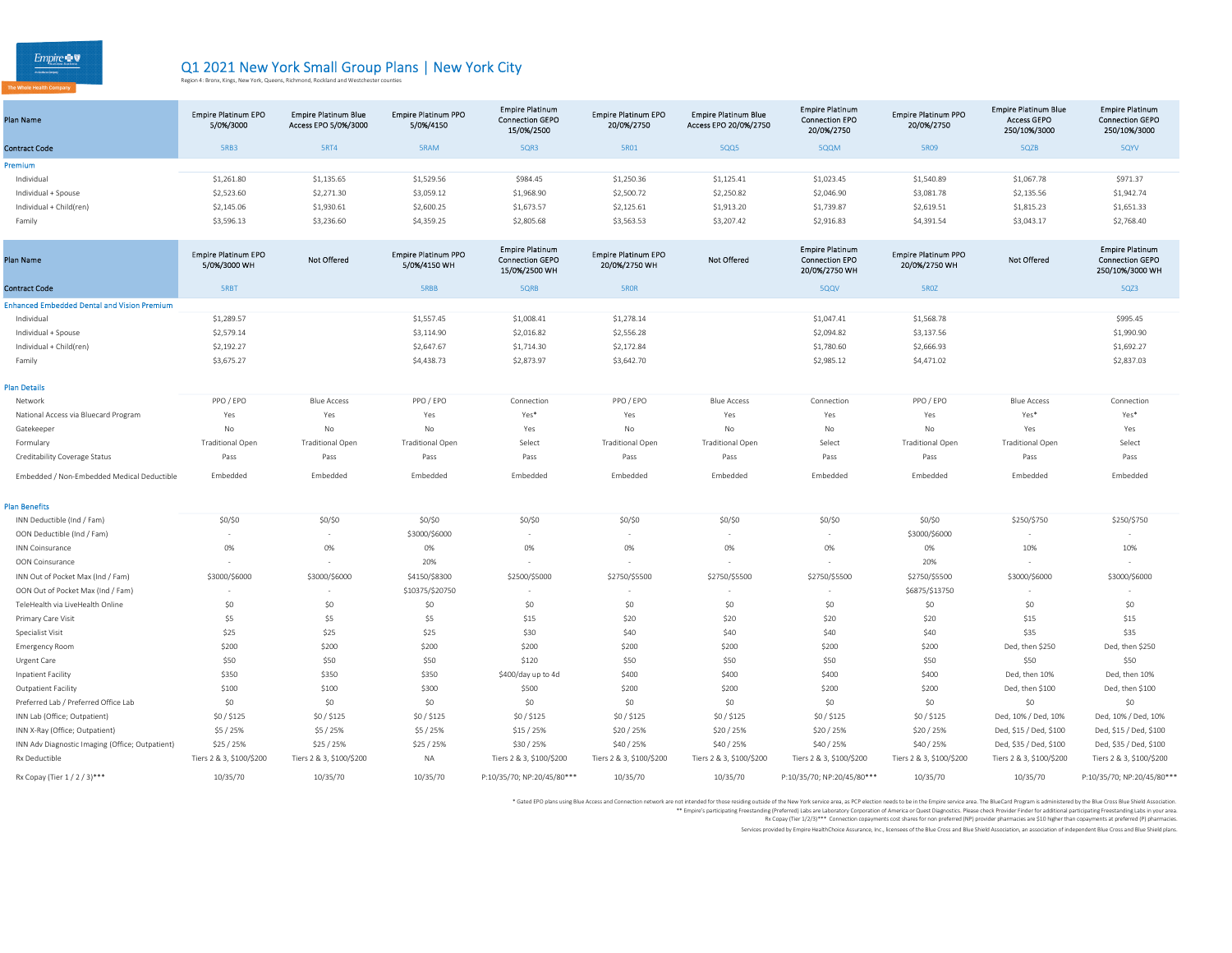$Empire  $\bullet$   $\bullet$$ </u>

## Q1 2021 New York Small Group Plans | New York City<br>Region 4: Bronx, Kings, New York, Queens, Richmond, Rockland and Westchester counties

| Plan Name               | <b>Empire Platinum EPO</b><br>5/0%/3000 | <b>Empire Platinum Blue</b><br>Access EPO 5/0%/3000 | <b>Empire Platinum PPO</b><br>5/0%/4150 | <b>Empire Platinum</b><br><b>Connection GEPO</b><br>15/0%/2500 | <b>Empire Platinum EPO</b><br>20/0%/2750 | <b>Empire Platinum Blue</b><br>Access EPO 20/0%/2750 | <b>Empire Platinum</b><br><b>Connection EPO</b><br>20/0%/2750 | <b>Empire Platinum PPO</b><br>20/0%/2750 | <b>Empire Platinum Blue</b><br><b>Access GEPO</b><br>250/10%/3000 | <b>Empire Platinum</b><br><b>Connection GEPO</b><br>250/10%/3000 |
|-------------------------|-----------------------------------------|-----------------------------------------------------|-----------------------------------------|----------------------------------------------------------------|------------------------------------------|------------------------------------------------------|---------------------------------------------------------------|------------------------------------------|-------------------------------------------------------------------|------------------------------------------------------------------|
| <b>Contract Code</b>    | <b>5RB3</b>                             | 5RT4                                                | 5RAM                                    | 5QR3                                                           | 5R01                                     | 5QQ5                                                 | 5QQM                                                          | <b>5R09</b>                              | 5QZB                                                              | 5QYV                                                             |
| Premium                 |                                         |                                                     |                                         |                                                                |                                          |                                                      |                                                               |                                          |                                                                   |                                                                  |
| Individual              | \$1,261.80                              | \$1,135.65                                          | \$1,529.56                              | \$984.45                                                       | \$1,250.36                               | \$1,125.41                                           | \$1,023.45                                                    | \$1,540.89                               | \$1,067.78                                                        | \$971.37                                                         |
| Individual + Spouse     | \$2,523.60                              | \$2,271.30                                          | \$3,059.12                              | \$1,968.90                                                     | \$2,500.72                               | \$2,250.82                                           | \$2,046.90                                                    | \$3,081.78                               | \$2,135.56                                                        | \$1,942.74                                                       |
| Individual + Child(ren) | \$2,145.06                              | \$1,930.61                                          | \$2,600.25                              | \$1,673.57                                                     | \$2,125.61                               | \$1,913.20                                           | \$1,739.87                                                    | \$2,619.51                               | \$1,815.23                                                        | \$1,651.33                                                       |
| Family                  | \$3,596.13                              | \$3,236.60                                          | \$4,359.25                              | \$2,805.68                                                     | \$3,563.53                               | \$3,207.42                                           | \$2,916.83                                                    | \$4,391.54                               | \$3,043.17                                                        | \$2,768.40                                                       |
|                         |                                         |                                                     |                                         |                                                                |                                          |                                                      |                                                               |                                          |                                                                   |                                                                  |

| Plan Name                                          | <b>Empire Platinum EPO</b><br>5/0%/3000 WH | <b>Not Offered</b>       | <b>Empire Platinum PPO</b><br>5/0%/4150 WH | <b>Empire Platinum</b><br><b>Connection GEPO</b><br>15/0%/2500 WH | <b>Empire Platinum EPO</b><br>20/0%/2750 WH | Not Offered              | <b>Empire Platinum</b><br><b>Connection EPO</b><br>20/0%/2750 WH | <b>Empire Platinum PPO</b><br>20/0%/2750 WH | <b>Not Offered</b>       | <b>Empire Platinum</b><br><b>Connection GEPO</b><br>250/10%/3000 WH |
|----------------------------------------------------|--------------------------------------------|--------------------------|--------------------------------------------|-------------------------------------------------------------------|---------------------------------------------|--------------------------|------------------------------------------------------------------|---------------------------------------------|--------------------------|---------------------------------------------------------------------|
| <b>Contract Code</b>                               | <b>SRBT</b>                                |                          | <b>SRBB</b>                                | 5QRB                                                              | 5ROR                                        |                          | 5QQV                                                             | 5ROZ                                        |                          | 5QZ3                                                                |
| <b>Enhanced Embedded Dental and Vision Premium</b> |                                            |                          |                                            |                                                                   |                                             |                          |                                                                  |                                             |                          |                                                                     |
| Individual                                         | \$1,289.57                                 |                          | \$1,557.45                                 | \$1,008.41                                                        | \$1,278.14                                  |                          | \$1,047.41                                                       | \$1,568.78                                  |                          | \$995.45                                                            |
| Individual + Spouse                                | \$2,579.14                                 |                          | \$3,114.90                                 | \$2,016.82                                                        | \$2,556.28                                  |                          | \$2,094.82                                                       | \$3,137.56                                  |                          | \$1,990.90                                                          |
| Individual + Child(ren)                            | \$2,192.27                                 |                          | \$2,647.67                                 | \$1,714.30                                                        | \$2,172.84                                  |                          | \$1,780.60                                                       | \$2,666.93                                  |                          | \$1,692.27                                                          |
| Family                                             | \$3,675.27                                 |                          | \$4,438.73                                 | \$2,873.97                                                        | \$3,642.70                                  |                          | \$2,985.12                                                       | \$4,471.02                                  |                          | \$2,837.03                                                          |
| <b>Plan Details</b>                                |                                            |                          |                                            |                                                                   |                                             |                          |                                                                  |                                             |                          |                                                                     |
| Network                                            | PPO / EPO                                  | <b>Blue Access</b>       | PPO / EPO                                  | Connection                                                        | PPO / EPO                                   | <b>Blue Access</b>       | Connection                                                       | PPO / EPO                                   | <b>Blue Access</b>       | Connection                                                          |
| National Access via Bluecard Program               | Yes                                        | Yes                      | Yes                                        | Yes*                                                              | Yes                                         | Yes                      | Yes                                                              | Yes                                         | Yes*                     | Yes*                                                                |
| Gatekeeper                                         | No                                         | No                       | No                                         | Yes                                                               | No                                          | No                       | No                                                               | No                                          | Yes                      | Yes                                                                 |
| Formulary                                          | <b>Traditional Open</b>                    | <b>Traditional Open</b>  | <b>Traditional Open</b>                    | Select                                                            | <b>Traditional Open</b>                     | <b>Traditional Open</b>  | Select                                                           | <b>Traditional Open</b>                     | <b>Traditional Open</b>  | Select                                                              |
| Creditability Coverage Status                      | Pass                                       | Pass                     | Pass                                       | Pass                                                              | Pass                                        | Pass                     | Pass                                                             | Pass                                        | Pass                     | Pass                                                                |
| Embedded / Non-Embedded Medical Deductible         | Embedded                                   | Embedded                 | Embedded                                   | Embedded                                                          | Embedded                                    | Embedded                 | Embedded                                                         | Embedded                                    | Embedded                 | Embedded                                                            |
| <b>Plan Benefits</b>                               |                                            |                          |                                            |                                                                   |                                             |                          |                                                                  |                                             |                          |                                                                     |
| INN Deductible (Ind / Fam)                         | \$0/\$0                                    | $$0/$ \$0                | \$0/\$0                                    | \$0/\$0                                                           | \$0/\$0                                     | \$0/\$0                  | $$0/$ \$0                                                        | \$0/\$0                                     | \$250/\$750              | \$250/\$750                                                         |
| OON Deductible (Ind / Fam)                         |                                            |                          | \$3000/\$6000                              | $\sim$                                                            |                                             |                          | $\sim$                                                           | \$3000/\$6000                               |                          |                                                                     |
| <b>INN Coinsurance</b>                             | 0%                                         | 0%                       | 0%                                         | 0%                                                                | 0%                                          | 0%                       | 0%                                                               | 0%                                          | 10%                      | 10%                                                                 |
| OON Coinsurance                                    |                                            |                          | 20%                                        |                                                                   |                                             |                          | $\sim$                                                           | 20%                                         |                          |                                                                     |
| INN Out of Pocket Max (Ind / Fam)                  | \$3000/\$6000                              | \$3000/\$6000            | \$4150/\$8300                              | \$2500/\$5000                                                     | \$2750/\$5500                               | \$2750/\$5500            | \$2750/\$5500                                                    | \$2750/\$5500                               | \$3000/\$6000            | \$3000/\$6000                                                       |
| OON Out of Pocket Max (Ind / Fam)                  |                                            |                          | \$10375/\$20750                            |                                                                   |                                             |                          | $\sim$                                                           | \$6875/\$13750                              |                          |                                                                     |
| TeleHealth via LiveHealth Online                   | \$0                                        | \$0                      | \$0                                        | \$0                                                               | \$0                                         | \$0                      | \$0                                                              | \$0                                         | \$0                      | \$0                                                                 |
| Primary Care Visit                                 | \$5                                        | \$5                      | \$5                                        | \$15                                                              | \$20                                        | \$20                     | \$20                                                             | \$20                                        | \$15                     | \$15                                                                |
| Specialist Visit                                   | \$25                                       | \$25                     | \$25                                       | \$30                                                              | \$40                                        | \$40                     | \$40                                                             | \$40                                        | \$35                     | \$35                                                                |
| <b>Emergency Room</b>                              | \$200                                      | \$200                    | \$200                                      | \$200                                                             | \$200                                       | \$200                    | \$200                                                            | \$200                                       | Ded, then \$250          | Ded, then \$250                                                     |
| Urgent Care                                        | \$50                                       | \$50                     | \$50                                       | \$120                                                             | \$50                                        | \$50                     | \$50                                                             | \$50                                        | \$50                     | \$50                                                                |
| Inpatient Facility                                 | \$350                                      | \$350                    | \$350                                      | \$400/day up to 4d                                                | \$400                                       | \$400                    | \$400                                                            | \$400                                       | Ded, then 10%            | Ded, then 10%                                                       |
| <b>Outpatient Facility</b>                         | \$100                                      | \$100                    | \$300                                      | \$500                                                             | \$200                                       | \$200                    | \$200                                                            | \$200                                       | Ded, then \$100          | Ded, then \$100                                                     |
| Preferred Lab / Preferred Office Lab               | \$0                                        | \$0                      | \$0                                        | \$0                                                               | \$0                                         | \$0                      | \$0                                                              | \$0                                         | \$0                      | \$0                                                                 |
| INN Lab (Office; Outpatient)                       | \$0/\$125                                  | \$0/\$125                | \$0/\$125                                  | \$0/ \$125                                                        | \$0/\$125                                   | \$0/\$125                | \$0/\$125                                                        | \$0/\$125                                   | Ded, 10% / Ded, 10%      | Ded, 10% / Ded, 10%                                                 |
| INN X-Ray (Office; Outpatient)                     | \$5 / 25%                                  | \$5 / 25%                | \$5 / 25%                                  | \$15 / 25%                                                        | \$20/25%                                    | \$20/25%                 | \$20 / 25%                                                       | \$20/25%                                    | Ded, \$15 / Ded, \$100   | Ded, \$15 / Ded, \$100                                              |
| INN Adv Diagnostic Imaging (Office; Outpatient)    | \$25 / 25%                                 | \$25 / 25%               | \$25 / 25%                                 | \$30 / 25%                                                        | \$40 / 25%                                  | \$40 / 25%               | \$40 / 25%                                                       | \$40 / 25%                                  | Ded, \$35 / Ded, \$100   | Ded, \$35 / Ded, \$100                                              |
| Rx Deductible                                      | Tiers 2 & 3, \$100/\$200                   | Tiers 2 & 3, \$100/\$200 | NA                                         | Tiers 2 & 3, \$100/\$200                                          | Tiers 2 & 3, \$100/\$200                    | Tiers 2 & 3, \$100/\$200 | Tiers 2 & 3, \$100/\$200                                         | Tiers 2 & 3, \$100/\$200                    | Tiers 2 & 3, \$100/\$200 | Tiers 2 & 3, \$100/\$200                                            |
| Rx Copay (Tier 1 / 2 / 3)***                       | 10/35/70                                   | 10/35/70                 | 10/35/70                                   | P:10/35/70; NP:20/45/80***                                        | 10/35/70                                    | 10/35/70                 | P:10/35/70; NP:20/45/80***                                       | 10/35/70                                    | 10/35/70                 | P:10/35/70; NP:20/45/80***                                          |

\* Gated EPO plans using Blue Access and Connection network are not intended or the the Wester Market area, as PCP ielction media to be in the Einpier service area. The BlueCard of Property and the finance of Predictional p

Rx Copay (Tier 1/2/3)\*\*\* Connection copayments cost shares for non preferred (NP) provider pharmacies are \$10 higher than copayments at preferred (P) pharmacies.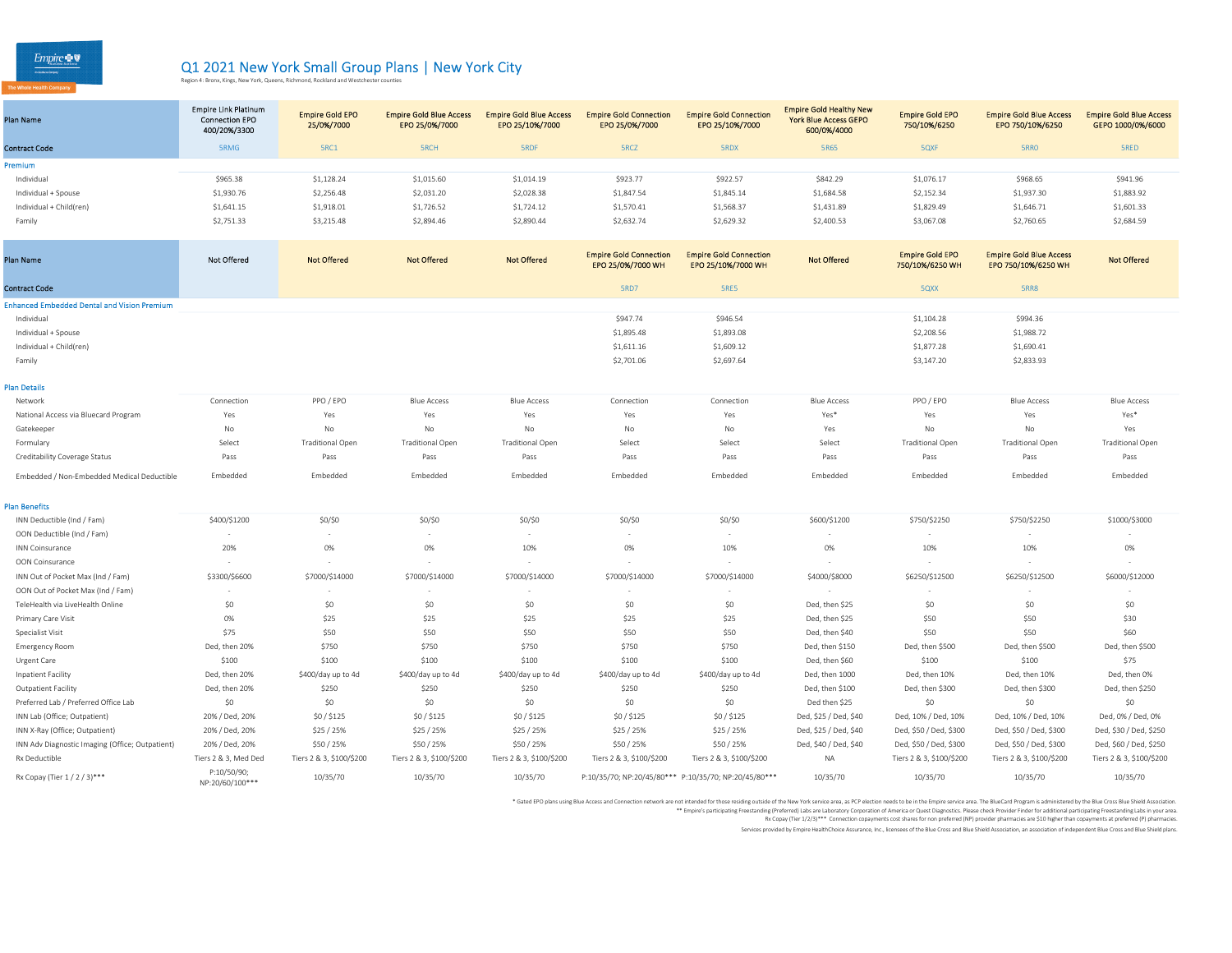$Empire \bullet \nabla$ 

## Q1 2021 New York Small Group Plans | New York City<br>Region 4: Bronx, Kings, New York, Queens, Richmond, Rockland and Westchester counties

| <b>Plan Name</b>                                   | <b>Empire Link Platinum</b><br><b>Connection EPO</b><br>400/20%/3300 | <b>Empire Gold EPO</b><br>25/0%/7000 | <b>Empire Gold Blue Access</b><br>EPO 25/0%/7000 | <b>Empire Gold Blue Access</b><br>EPO 25/10%/7000 | <b>Empire Gold Connection</b><br>EPO 25/0%/7000    | <b>Empire Gold Connection</b><br>EPO 25/10%/7000      | <b>Empire Gold Healthy New</b><br><b>York Blue Access GEPO</b><br>600/0%/4000 | <b>Empire Gold EPO</b><br>750/10%/6250    | <b>Empire Gold Blue Access</b><br>EPO 750/10%/6250    | <b>Empire Gold Blue Access</b><br>GEPO 1000/0%/6000 |
|----------------------------------------------------|----------------------------------------------------------------------|--------------------------------------|--------------------------------------------------|---------------------------------------------------|----------------------------------------------------|-------------------------------------------------------|-------------------------------------------------------------------------------|-------------------------------------------|-------------------------------------------------------|-----------------------------------------------------|
| <b>Contract Code</b>                               | 5RMG                                                                 | 5RC1                                 | <b>SRCH</b>                                      | <b>SRDF</b>                                       | 5RCZ                                               | <b>SRDX</b>                                           | 5R65                                                                          | 5QXF                                      | 5RRO                                                  | <b>SRED</b>                                         |
| Premium                                            |                                                                      |                                      |                                                  |                                                   |                                                    |                                                       |                                                                               |                                           |                                                       |                                                     |
| Individual                                         | \$965.38                                                             | \$1,128.24                           | \$1,015.60                                       | \$1,014.19                                        | \$923.77                                           | \$922.57                                              | \$842.29                                                                      | \$1,076.17                                | \$968.65                                              | \$941.96                                            |
| Individual + Spouse                                | \$1,930.76                                                           | \$2,256.48                           | \$2,031.20                                       | \$2,028.38                                        | \$1,847.54                                         | \$1,845.14                                            | \$1,684.58                                                                    | \$2,152.34                                | \$1,937.30                                            | \$1,883.92                                          |
| Individual + Child(ren)                            | \$1,641.15                                                           | \$1,918.01                           | \$1,726.52                                       | \$1,724.12                                        | \$1,570.41                                         | \$1,568.37                                            | \$1,431.89                                                                    | \$1,829.49                                | \$1,646.71                                            | \$1,601.33                                          |
| Family                                             | \$2,751.33                                                           | \$3,215.48                           | \$2,894.46                                       | \$2,890.44                                        | \$2,632.74                                         | \$2,629.32                                            | \$2,400.53                                                                    | \$3,067.08                                | \$2,760.65                                            | \$2,684.59                                          |
| <b>Plan Name</b>                                   | <b>Not Offered</b>                                                   | <b>Not Offered</b>                   | <b>Not Offered</b>                               | <b>Not Offered</b>                                | <b>Empire Gold Connection</b><br>EPO 25/0%/7000 WH | <b>Empire Gold Connection</b><br>EPO 25/10%/7000 WH   | <b>Not Offered</b>                                                            | <b>Empire Gold EPO</b><br>750/10%/6250 WH | <b>Empire Gold Blue Access</b><br>EPO 750/10%/6250 WH | <b>Not Offered</b>                                  |
| <b>Contract Code</b>                               |                                                                      |                                      |                                                  |                                                   | <b>5RD7</b>                                        | 5RE5                                                  |                                                                               | 5QXX                                      | <b>5RR8</b>                                           |                                                     |
| <b>Enhanced Embedded Dental and Vision Premium</b> |                                                                      |                                      |                                                  |                                                   |                                                    |                                                       |                                                                               |                                           |                                                       |                                                     |
| Individual                                         |                                                                      |                                      |                                                  |                                                   | \$947.74                                           | \$946.54                                              |                                                                               | \$1,104.28                                | \$994.36                                              |                                                     |
| Individual + Spouse                                |                                                                      |                                      |                                                  |                                                   | \$1,895.48                                         | \$1,893.08                                            |                                                                               | \$2,208.56                                | \$1,988.72                                            |                                                     |
| Individual + Child(ren)                            |                                                                      |                                      |                                                  |                                                   | \$1,611.16                                         | \$1,609.12                                            |                                                                               | \$1,877.28                                | \$1,690.41                                            |                                                     |
| Family                                             |                                                                      |                                      |                                                  |                                                   | \$2,701.06                                         | \$2,697.64                                            |                                                                               | \$3,147.20                                | \$2,833.93                                            |                                                     |
| <b>Plan Details</b>                                |                                                                      |                                      |                                                  |                                                   |                                                    |                                                       |                                                                               |                                           |                                                       |                                                     |
| Network                                            | Connection                                                           | PPO / EPO                            | <b>Blue Access</b>                               | <b>Blue Access</b>                                | Connection                                         | Connection                                            | <b>Blue Access</b>                                                            | PPO / EPO                                 | <b>Blue Access</b>                                    | <b>Blue Access</b>                                  |
| National Access via Bluecard Program               | Yes                                                                  | Yes                                  | Yes                                              | Yes                                               | Yes                                                | Yes                                                   | Yes*                                                                          | Yes                                       | Yes                                                   | Yes*                                                |
| Gatekeeper                                         | No                                                                   | No                                   | No                                               | No                                                | No                                                 | No                                                    | Yes                                                                           | No                                        | No                                                    | Yes                                                 |
| Formulary                                          | Select                                                               | <b>Traditional Open</b>              | <b>Traditional Open</b>                          | <b>Traditional Open</b>                           | Select                                             | Select                                                | Select                                                                        | <b>Traditional Open</b>                   | <b>Traditional Open</b>                               | <b>Traditional Open</b>                             |
| Creditability Coverage Status                      | Pass                                                                 | Pass                                 | Pass                                             | Pass                                              | Pass                                               | Pass                                                  | Pass                                                                          | Pass                                      | Pass                                                  | Pass                                                |
| Embedded / Non-Embedded Medical Deductible         | Embedded                                                             | Embedded                             | Embedded                                         | Embedded                                          | Embedded                                           | Embedded                                              | Embedded                                                                      | Embedded                                  | Embedded                                              | Embedded                                            |
| <b>Plan Benefits</b>                               |                                                                      |                                      |                                                  |                                                   |                                                    |                                                       |                                                                               |                                           |                                                       |                                                     |
| INN Deductible (Ind / Fam)                         | \$400/\$1200                                                         | \$0/\$0                              | \$0/\$0                                          | \$0/\$0                                           | \$0/\$0                                            | \$0/\$0                                               | \$600/\$1200                                                                  | \$750/\$2250                              | \$750/\$2250                                          | \$1000/\$3000                                       |
| OON Deductible (Ind / Fam)                         |                                                                      |                                      |                                                  |                                                   |                                                    | $\overline{\phantom{a}}$                              |                                                                               |                                           |                                                       |                                                     |
| <b>INN Coinsurance</b>                             | 20%                                                                  | 0%                                   | 0%                                               | 10%                                               | 0%                                                 | 10%                                                   | $0\%$                                                                         | 10%                                       | 10%                                                   | 0%                                                  |
| OON Coinsurance                                    |                                                                      |                                      |                                                  |                                                   |                                                    |                                                       |                                                                               | $\sim$                                    |                                                       |                                                     |
| INN Out of Pocket Max (Ind / Fam)                  | \$3300/\$6600                                                        | \$7000/\$14000                       | \$7000/\$14000                                   | \$7000/\$14000                                    | \$7000/\$14000                                     | \$7000/\$14000                                        | \$4000/\$8000                                                                 | \$6250/\$12500                            | \$6250/\$12500                                        | \$6000/\$12000                                      |
| OON Out of Pocket Max (Ind / Fam)                  |                                                                      |                                      |                                                  |                                                   |                                                    |                                                       |                                                                               |                                           |                                                       |                                                     |
| TeleHealth via LiveHealth Online                   | \$0                                                                  | \$0                                  | \$0                                              | \$0                                               | \$0                                                | \$0                                                   | Ded, then \$25                                                                | \$0                                       | \$0                                                   | \$0                                                 |
| Primary Care Visit                                 | 0%                                                                   | \$25                                 | \$25                                             | \$25                                              | \$25                                               | \$25                                                  | Ded, then \$25                                                                | \$50                                      | \$50                                                  | \$30                                                |
| Specialist Visit                                   | \$75                                                                 | \$50                                 | \$50                                             | \$50                                              | \$50                                               | \$50                                                  | Ded, then \$40                                                                | \$50                                      | \$50                                                  | \$60                                                |
| <b>Emergency Room</b>                              | Ded, then 20%                                                        | \$750                                | \$750                                            | \$750                                             | \$750                                              | \$750                                                 | Ded, then \$150                                                               | Ded, then \$500                           | Ded, then \$500                                       | Ded, then \$500                                     |
| Urgent Care                                        | \$100                                                                | \$100                                | \$100                                            | \$100                                             | \$100                                              | \$100                                                 | Ded, then \$60                                                                | \$100                                     | \$100                                                 | \$75                                                |
| Inpatient Facility                                 | Ded, then 20%                                                        | \$400/day up to 4d                   | \$400/day up to 4d                               | \$400/day up to 4d                                | \$400/day up to 4d                                 | \$400/day up to 4d                                    | Ded, then 1000                                                                | Ded, then 10%                             | Ded, then 10%                                         | Ded, then 0%                                        |
| Outpatient Facility                                | Ded, then 20%                                                        | \$250                                | \$250                                            | \$250                                             | \$250                                              | \$250                                                 | Ded, then \$100                                                               | Ded, then \$300                           | Ded, then \$300                                       | Ded, then \$250                                     |
| Preferred Lab / Preferred Office Lab               | \$0                                                                  | \$0                                  | \$0                                              | \$0                                               | \$0                                                | \$0                                                   | Ded then \$25                                                                 | \$0                                       | \$0                                                   | \$0                                                 |
| INN Lab (Office; Outpatient)                       | 20% / Ded, 20%                                                       | \$0/\$125                            | \$0/\$125                                        | \$0/\$125                                         | \$0/\$125                                          | \$0/\$125                                             | Ded, \$25 / Ded, \$40                                                         | Ded, 10% / Ded, 10%                       | Ded, 10% / Ded, 10%                                   | Ded, 0% / Ded, 0%                                   |
| INN X-Ray (Office; Outpatient)                     | 20% / Ded, 20%                                                       | \$25/25%                             | \$25 / 25%                                       | \$25 / 25%                                        | \$25 / 25%                                         | \$25 / 25%                                            | Ded, \$25 / Ded, \$40                                                         | Ded, \$50 / Ded, \$300                    | Ded, \$50 / Ded, \$300                                | Ded, \$30 / Ded, \$250                              |
| INN Adv Diagnostic Imaging (Office; Outpatient)    | 20% / Ded, 20%                                                       | \$50/25%                             | \$50/25%                                         | \$50 / 25%                                        | \$50 / 25%                                         | \$50 / 25%                                            | Ded, \$40 / Ded, \$40                                                         | Ded, \$50 / Ded, \$300                    | Ded, \$50 / Ded, \$300                                | Ded, \$60 / Ded, \$250                              |
| Rx Deductible                                      | Tiers 2 & 3, Med Ded                                                 | Tiers 2 & 3, \$100/\$200             | Tiers 2 & 3, \$100/\$200                         | Tiers 2 & 3, \$100/\$200                          | Tiers 2 & 3, \$100/\$200                           | Tiers 2 & 3, \$100/\$200                              | <b>NA</b>                                                                     | Tiers 2 & 3, \$100/\$200                  | Tiers 2 & 3, \$100/\$200                              | Tiers 2 & 3, \$100/\$200                            |
| Rx Copay (Tier 1/2/3)***                           | P:10/50/90;<br>NP:20/60/100***                                       | 10/35/70                             | 10/35/70                                         | 10/35/70                                          |                                                    | P:10/35/70; NP:20/45/80*** P:10/35/70; NP:20/45/80*** | 10/35/70                                                                      | 10/35/70                                  | 10/35/70                                              | 10/35/70                                            |

\* Gated EPO plans using Blue Access and Connection network are not intended or the the Wester Market area, as PCP ielction media to be in the Einpier service area. The BlueCard of Property and the finance of Predictional p

Rx Copay (Tier 1/2/3)\*\*\* Connection copayments cost shares for non preferred (NP) provider pharmacies are \$10 higher than copayments at preferred (P) pharmacies.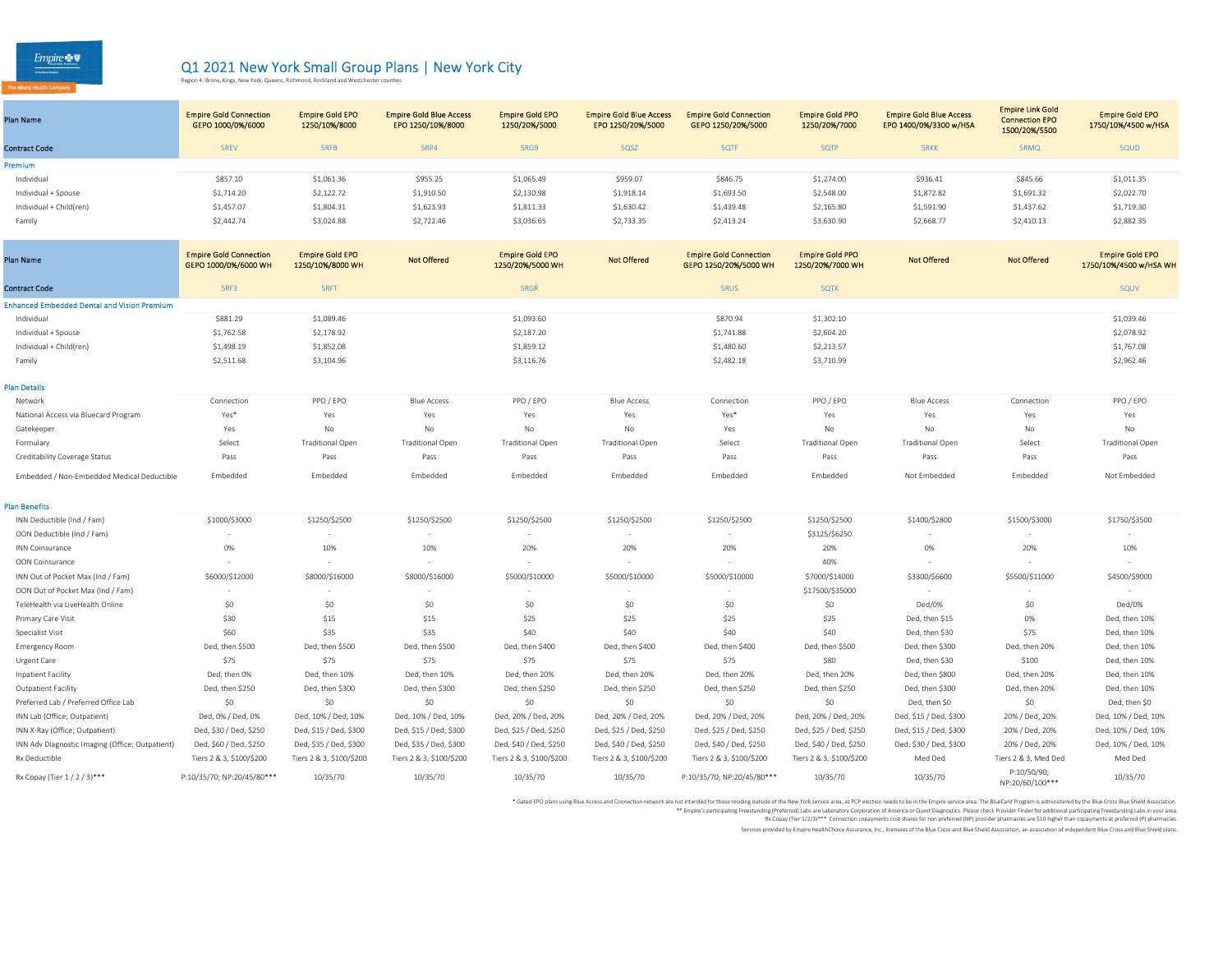$\begin{array}{c}\n\text{Empire} \rightarrow \mathbb{Q}\n\\ \n\text{Fermann} \n\end{array}$ 

## Q1 2021 New York Small Group Plans | New York City<br>Region 4: Bronx, Kings, New York, Queens, Richmond, Rockland and Westchester counties

| Plan Name               | <b>Empire Gold Connection</b><br>GEPO 1000/0%/6000 | <b>Empire Gold EPO</b><br>1250/10%/8000 | <b>Empire Gold Blue Access</b><br>EPO 1250/10%/8000 | <b>Empire Gold EPO</b><br>1250/20%/5000 | <b>Empire Gold Blue Access</b><br>EPO 1250/20%/5000 | <b>Empire Gold Connection</b><br>GEPO 1250/20%/5000 | <b>Empire Gold PPO</b><br>1250/20%/7000 | <b>Empire Gold Blue Access</b><br>EPO 1400/0%/3300 w/HSA | <b>Empire Link Gold</b><br><b>Connection EPO</b><br>1500/20%/5500 | <b>Empire Gold EPO</b><br>1750/10%/4500 w/HSA |
|-------------------------|----------------------------------------------------|-----------------------------------------|-----------------------------------------------------|-----------------------------------------|-----------------------------------------------------|-----------------------------------------------------|-----------------------------------------|----------------------------------------------------------|-------------------------------------------------------------------|-----------------------------------------------|
| <b>Contract Code</b>    | <b>SREV</b>                                        | <b>SRFB</b>                             | <b>5RP4</b>                                         | 5RG9                                    | 5QSZ                                                | 5QTF                                                | <b>SQTP</b>                             | <b>5RKK</b>                                              | <b>5RMQ</b>                                                       | 5QUD                                          |
| Premium                 |                                                    |                                         |                                                     |                                         |                                                     |                                                     |                                         |                                                          |                                                                   |                                               |
| Individual              | \$857.10                                           | \$1,061.36                              | \$955.25                                            | \$1,065.49                              | \$959.07                                            | \$846.75                                            | \$1,274.00                              | \$936.41                                                 | \$845.66                                                          | \$1,011.35                                    |
| Individual + Spouse     | \$1,714.20                                         | \$2,122.72                              | \$1,910.50                                          | \$2,130.98                              | \$1,918.14                                          | \$1,693.50                                          | \$2,548.00                              | \$1,872.82                                               | \$1,691.32                                                        | \$2,022.70                                    |
| Individual + Child(ren) | \$1,457.07                                         | \$1,804.31                              | \$1,623.93                                          | \$1,811.33                              | \$1,630.42                                          | \$1,439.48                                          | \$2,165.80                              | \$1,591.90                                               | \$1,437.62                                                        | \$1,719.30                                    |
| Family                  | \$2,442.74                                         | \$3,024.88                              | \$2,722.46                                          | \$3,036.65                              | \$2,733.35                                          | \$2,413.24                                          | \$3,630.90                              | \$2,668.77                                               | \$2,410.13                                                        | \$2,882.35                                    |
|                         |                                                    |                                         |                                                     |                                         |                                                     |                                                     |                                         |                                                          |                                                                   |                                               |

| Plan Name                                          | <b>Empire Gold Connection</b><br>GEPO 1000/0%/6000 WH | <b>Empire Gold EPO</b><br>1250/10%/8000 WH | <b>Not Offered</b>       | <b>Empire Gold EPO</b><br>1250/20%/5000 WH | <b>Not Offered</b>       | <b>Empire Gold Connection</b><br>GEPO 1250/20%/5000 WH | <b>Empire Gold PPO</b><br>1250/20%/7000 WH | <b>Not Offered</b>      | <b>Not Offered</b>             | <b>Empire Gold EPO</b><br>1750/10%/4500 w/HSA WH |
|----------------------------------------------------|-------------------------------------------------------|--------------------------------------------|--------------------------|--------------------------------------------|--------------------------|--------------------------------------------------------|--------------------------------------------|-------------------------|--------------------------------|--------------------------------------------------|
| <b>Contract Code</b>                               | 5RF3                                                  | <b>SRFT</b>                                |                          | <b>SRGR</b>                                |                          | <b>SRUS</b>                                            | 5QTX                                       |                         |                                | <b>5QUV</b>                                      |
| <b>Enhanced Embedded Dental and Vision Premium</b> |                                                       |                                            |                          |                                            |                          |                                                        |                                            |                         |                                |                                                  |
| Individual                                         | \$881.29                                              | \$1,089.46                                 |                          | \$1,093.60                                 |                          | \$870.94                                               | \$1,302.10                                 |                         |                                | \$1,039.46                                       |
| Individual + Spouse                                | \$1,762.58                                            | \$2,178.92                                 |                          | \$2,187.20                                 |                          | \$1,741.88                                             | \$2,604.20                                 |                         |                                | \$2,078.92                                       |
| Individual + Child(ren)                            | \$1,498.19                                            | \$1,852.08                                 |                          | \$1,859.12                                 |                          | \$1,480.60                                             | \$2,213.57                                 |                         |                                | \$1,767.08                                       |
| Family                                             | \$2,511.68                                            | \$3,104.96                                 |                          | \$3,116.76                                 |                          | \$2,482.18                                             | \$3,710.99                                 |                         |                                | \$2,962.46                                       |
| Plan Details                                       |                                                       |                                            |                          |                                            |                          |                                                        |                                            |                         |                                |                                                  |
| Network                                            | Connection                                            | PPO / EPO                                  | <b>Blue Access</b>       | PPO / EPO                                  | <b>Blue Access</b>       | Connection                                             | PPO / EPO                                  | <b>Blue Access</b>      | Connection                     | PPO / EPO                                        |
| National Access via Bluecard Program               | Yes*                                                  | Yes                                        | Yes                      | Yes                                        | Yes                      | Yes*                                                   | Yes                                        | Yes                     | Yes                            | Yes                                              |
| Gatekeeper                                         | Yes                                                   | No                                         | No                       | No                                         | No                       | Yes                                                    | No                                         | No                      | No                             | No                                               |
| Formulary                                          | Select                                                | <b>Traditional Open</b>                    | <b>Traditional Open</b>  | <b>Traditional Open</b>                    | <b>Traditional Open</b>  | Select                                                 | <b>Traditional Open</b>                    | <b>Traditional Open</b> | Select                         | <b>Traditional Open</b>                          |
| Creditability Coverage Status                      | Pass                                                  | Pass                                       | Pass                     | Pass                                       | Pass                     | Pass                                                   | Pass                                       | Pass                    | Pass                           | Pass                                             |
| Embedded / Non-Embedded Medical Deductible         | Embedded                                              | Embedded                                   | Embedded                 | Embedded                                   | Embedded                 | Embedded                                               | Embedded                                   | Not Embedded            | Embedded                       | Not Embedded                                     |
| lan Benefits                                       |                                                       |                                            |                          |                                            |                          |                                                        |                                            |                         |                                |                                                  |
| INN Deductible (Ind / Fam)                         | \$1000/\$3000                                         | \$1250/\$2500                              | \$1250/\$2500            | \$1250/\$2500                              | \$1250/\$2500            | \$1250/\$2500                                          | \$1250/\$2500                              | \$1400/\$2800           | \$1500/\$3000                  | \$1750/\$3500                                    |
| OON Deductible (Ind / Fam)                         | $\sim$                                                | $\sim$                                     | $\sim$                   | $\sim$                                     |                          | $\sim$                                                 | \$3125/\$6250                              | $\sim$                  |                                |                                                  |
| <b>INN Coinsurance</b>                             | 0%                                                    | 10%                                        | 10%                      | 20%                                        | 20%                      | 20%                                                    | 20%                                        | 0%                      | 20%                            | 10%                                              |
| OON Coinsurance                                    |                                                       |                                            | $\sim$                   |                                            |                          |                                                        | 40%                                        | $\sim$                  |                                |                                                  |
| INN Out of Pocket Max (Ind / Fam)                  | \$6000/\$12000                                        | \$8000/\$16000                             | \$8000/\$16000           | \$5000/\$10000                             | \$5000/\$10000           | \$5000/\$10000                                         | \$7000/\$14000                             | \$3300/\$6600           | \$5500/\$11000                 | \$4500/\$9000                                    |
| OON Out of Pocket Max (Ind / Fam)                  |                                                       |                                            |                          |                                            |                          |                                                        | \$17500/\$35000                            | $\sim$                  |                                |                                                  |
| TeleHealth via LiveHealth Online                   | \$0                                                   | \$0                                        | \$0                      | \$0                                        | \$0                      | \$0                                                    | \$0                                        | Ded/0%                  | \$0                            | Ded/0%                                           |
| Primary Care Visit                                 | \$30                                                  | \$15                                       | \$15                     | \$25                                       | \$25                     | \$25                                                   | \$25                                       | Ded, then \$15          | 0%                             | Ded, then 10%                                    |
| Specialist Visit                                   | \$60                                                  | \$35                                       | \$35                     | \$40                                       | \$40                     | \$40                                                   | \$40                                       | Ded, then \$30          | \$75                           | Ded, then 10%                                    |
| <b>Emergency Room</b>                              | Ded, then \$500                                       | Ded, then \$500                            | Ded, then \$500          | Ded, then \$400                            | Ded, then \$400          | Ded, then \$400                                        | Ded, then \$500                            | Ded, then \$300         | Ded, then 20%                  | Ded, then 10%                                    |
| Urgent Care                                        | \$75                                                  | \$75                                       | \$75                     | \$75                                       | \$75                     | \$75                                                   | \$80                                       | Ded, then \$30          | \$100                          | Ded, then 10%                                    |
| Inpatient Facility                                 | Ded, then 0%                                          | Ded, then 10%                              | Ded, then 10%            | Ded, then 20%                              | Ded, then 20%            | Ded, then 20%                                          | Ded, then 20%                              | Ded, then \$800         | Ded, then 20%                  | Ded, then 10%                                    |
| <b>Outpatient Facility</b>                         | Ded, then \$250                                       | Ded, then \$300                            | Ded, then \$300          | Ded, then \$250                            | Ded, then \$250          | Ded, then \$250                                        | Ded, then \$250                            | Ded, then \$300         | Ded, then 20%                  | Ded, then 10%                                    |
| Preferred Lab / Preferred Office Lab               | \$0                                                   | \$0                                        | \$0                      | \$0                                        | \$0                      | \$0                                                    | \$0                                        | Ded, then \$0           | \$0                            | Ded, then \$0                                    |
| INN Lab (Office; Outpatient)                       | Ded, 0% / Ded, 0%                                     | Ded, 10% / Ded, 10%                        | Ded, 10% / Ded, 10%      | Ded, 20% / Ded, 20%                        | Ded, 20% / Ded, 20%      | Ded, 20% / Ded, 20%                                    | Ded, 20% / Ded, 20%                        | Ded, \$15 / Ded, \$300  | 20% / Ded, 20%                 | Ded, 10% / Ded, 10%                              |
| INN X-Ray (Office; Outpatient)                     | Ded, \$30 / Ded, \$250                                | Ded, \$15 / Ded, \$300                     | Ded, \$15 / Ded, \$300   | Ded, \$25 / Ded, \$250                     | Ded, \$25 / Ded, \$250   | Ded, \$25 / Ded, \$250                                 | Ded, \$25 / Ded, \$250                     | Ded, \$15 / Ded, \$300  | 20% / Ded, 20%                 | Ded, 10% / Ded, 10%                              |
| INN Adv Diagnostic Imaging (Office; Outpatient)    | Ded, \$60 / Ded, \$250                                | Ded, \$35 / Ded, \$300                     | Ded, \$35 / Ded, \$300   | Ded, \$40 / Ded, \$250                     | Ded, \$40 / Ded, \$250   | Ded, \$40 / Ded, \$250                                 | Ded, \$40 / Ded, \$250                     | Ded, \$30 / Ded, \$300  | 20% / Ded, 20%                 | Ded, 10% / Ded, 10%                              |
| Rx Deductible                                      | Tiers 2 & 3, \$100/\$200                              | Tiers 2 & 3, \$100/\$200                   | Tiers 2 & 3, \$100/\$200 | Tiers 2 & 3, \$100/\$200                   | Tiers 2 & 3, \$100/\$200 | Tiers 2 & 3, \$100/\$200                               | Tiers 2 & 3, \$100/\$200                   | Med Ded                 | Tiers 2 & 3, Med Ded           | Med Ded                                          |
| Rx Copay (Tier 1 / 2 / 3)***                       | P:10/35/70; NP:20/45/80***                            | 10/35/70                                   | 10/35/70                 | 10/35/70                                   | 10/35/70                 | P:10/35/70; NP:20/45/80***                             | 10/35/70                                   | 10/35/70                | P:10/50/90;<br>NP:20/60/100*** | 10/35/70                                         |

\* Gated EPO plans using Blue Access and Connection network are not intended or the the Wester Market area, as PCP ielction media to be in the Einpier service area. The BlueCard of Property and the finance of Predictional p

Rx Copay (Tier 1/2/3)\*\*\* Connection copayments cost shares for non preferred (NP) provider pharmacies are \$10 higher than copayments at preferred (P) pharmacies.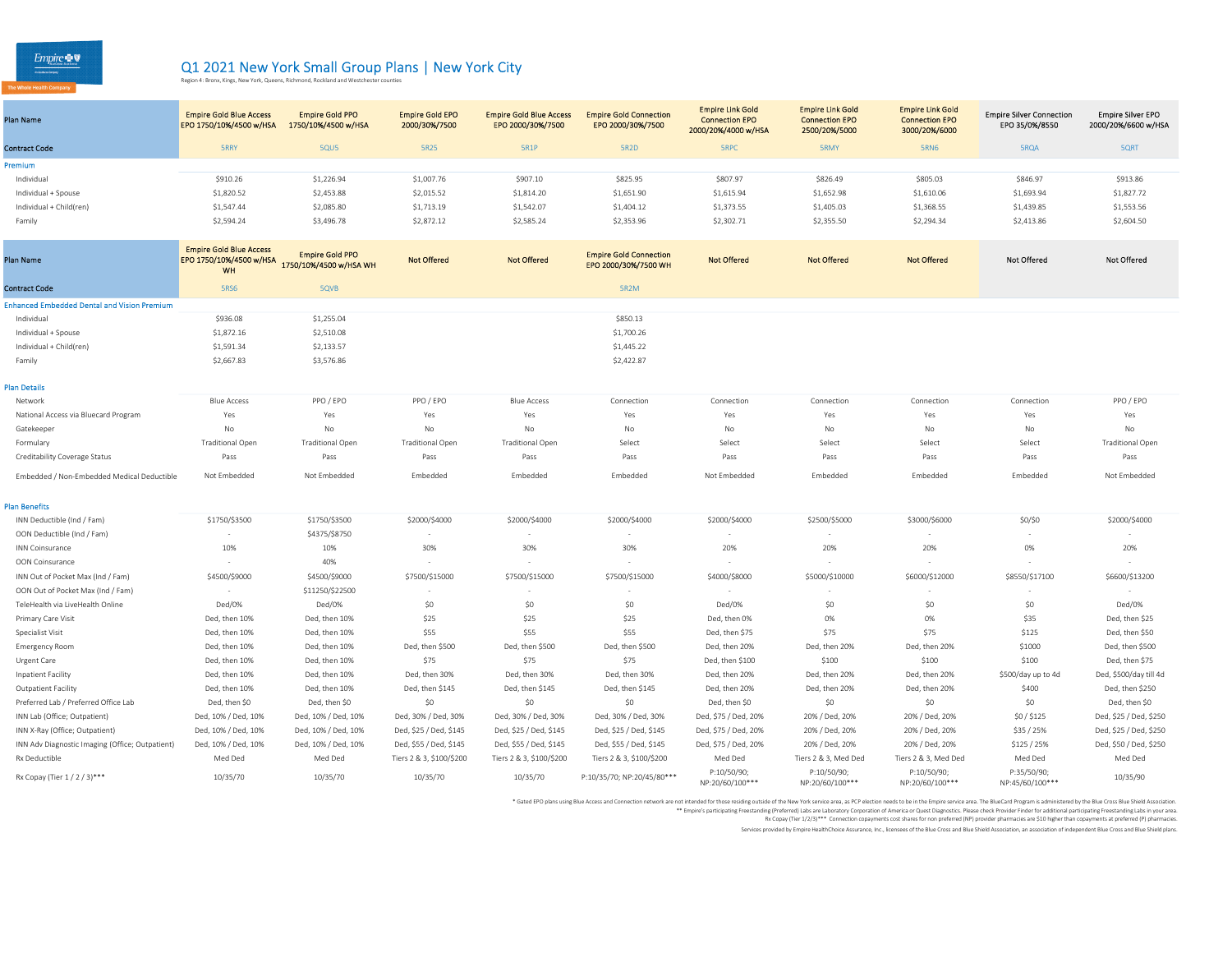$Empire \otimes \nabla$ **EXAMPLE CONTRARY** 

Rx Copay (Tier 1 / 2 / 3)\*\*\*

## Q1 2021 New York Small Group Plans | New York City<br>Region 4: Bronx, Kings, New York, Queens, Richmond, Rockland and Westchester counties

| Plan Name               | <b>Empire Gold Blue Access</b><br>EPO 1750/10%/4500 w/HSA | <b>Empire Gold PPO</b><br>1750/10%/4500 w/HSA | <b>Empire Gold EPO</b><br>2000/30%/7500 | <b>Empire Gold Blue Access</b><br>EPO 2000/30%/7500 | <b>Empire Gold Connection</b><br>EPO 2000/30%/7500 | <b>Empire Link Gold</b><br><b>Connection EPO</b><br>2000/20%/4000 w/HSA | <b>Empire Link Gold</b><br><b>Connection EPO</b><br>2500/20%/5000 | <b>Empire Link Gold</b><br><b>Connection EPO</b><br>3000/20%/6000 | <b>Empire Silver Connection</b><br>EPO 35/0%/8550 | <b>Empire Silver EPO</b><br>2000/20%/6600 w/HSA |
|-------------------------|-----------------------------------------------------------|-----------------------------------------------|-----------------------------------------|-----------------------------------------------------|----------------------------------------------------|-------------------------------------------------------------------------|-------------------------------------------------------------------|-------------------------------------------------------------------|---------------------------------------------------|-------------------------------------------------|
| <b>Contract Code</b>    | <b>5RRY</b>                                               | 5QU5                                          | 5R25                                    | <b>5R1P</b>                                         | <b>5R2D</b>                                        | <b>SRPC</b>                                                             | <b>5RMY</b>                                                       | <b>5RN6</b>                                                       | <b>5ROA</b>                                       | 5QRT                                            |
| Premium                 |                                                           |                                               |                                         |                                                     |                                                    |                                                                         |                                                                   |                                                                   |                                                   |                                                 |
| Individual              | \$910.26                                                  | \$1,226.94                                    | \$1,007.76                              | \$907.10                                            | \$825.95                                           | \$807.97                                                                | \$826.49                                                          | \$805.03                                                          | \$846.97                                          | \$913.86                                        |
| Individual + Spouse     | \$1,820.52                                                | \$2,453.88                                    | \$2,015.52                              | \$1,814.20                                          | \$1,651.90                                         | \$1,615.94                                                              | \$1,652.98                                                        | \$1,610.06                                                        | \$1,693.94                                        | \$1,827.72                                      |
| Individual + Child(ren) | \$1,547.44                                                | \$2,085.80                                    | \$1,713.19                              | \$1,542.07                                          | \$1,404.12                                         | \$1,373.55                                                              | \$1,405.03                                                        | \$1,368.55                                                        | \$1,439.85                                        | \$1,553.56                                      |
| Family                  | \$2,594.24                                                | \$3,496.78                                    | \$2,872.12                              | \$2,585.24                                          | \$2,353.96                                         | \$2,302.71                                                              | \$2,355.50                                                        | \$2,294.34                                                        | \$2,413.86                                        | \$2,604.50                                      |
|                         |                                                           |                                               |                                         |                                                     |                                                    |                                                                         |                                                                   |                                                                   |                                                   |                                                 |

| <b>Plan Name</b>                                   | <b>Empire Gold Blue Access</b><br>EPO 1750/10%/4500 w/HSA<br><b>WH</b> | <b>Empire Gold PPO</b><br>1750/10%/4500 w/HSA WH | <b>Not Offered</b>       | <b>Not Offered</b>       | <b>Empire Gold Connection</b><br>EPO 2000/30%/7500 WH | <b>Not Offered</b>       | <b>Not Offered</b>   | <b>Not Offered</b>   | <b>Not Offered</b> | <b>Not Offered</b>      |
|----------------------------------------------------|------------------------------------------------------------------------|--------------------------------------------------|--------------------------|--------------------------|-------------------------------------------------------|--------------------------|----------------------|----------------------|--------------------|-------------------------|
| <b>Contract Code</b>                               | <b>5RS6</b>                                                            | 5QVB                                             |                          |                          | 5R2M                                                  |                          |                      |                      |                    |                         |
| <b>Enhanced Embedded Dental and Vision Premium</b> |                                                                        |                                                  |                          |                          |                                                       |                          |                      |                      |                    |                         |
| Individual                                         | \$936.08                                                               | \$1,255.04                                       |                          |                          | \$850.13                                              |                          |                      |                      |                    |                         |
| Individual + Spouse                                | \$1,872.16                                                             | \$2,510.08                                       |                          |                          | \$1,700.26                                            |                          |                      |                      |                    |                         |
| Individual + Child(ren)                            | \$1,591.34                                                             | \$2,133.57                                       |                          |                          | \$1,445.22                                            |                          |                      |                      |                    |                         |
| Family                                             | \$2,667.83                                                             | \$3,576.86                                       |                          |                          | \$2,422.87                                            |                          |                      |                      |                    |                         |
| Plan Details                                       |                                                                        |                                                  |                          |                          |                                                       |                          |                      |                      |                    |                         |
| Network                                            | <b>Blue Access</b>                                                     | PPO / EPO                                        | PPO / EPO                | <b>Blue Access</b>       | Connection                                            | Connection               | Connection           | Connection           | Connection         | PPO / EPO               |
| National Access via Bluecard Program               | Yes                                                                    | Yes                                              | Yes                      | Yes                      | Yes                                                   | Yes                      | Yes                  | Yes                  | Yes                | Yes                     |
| Gatekeeper                                         | No                                                                     | No                                               | No                       | No                       | No                                                    | No                       | No                   | No                   | No                 | No                      |
| Formulary                                          | <b>Traditional Open</b>                                                | <b>Traditional Open</b>                          | <b>Traditional Open</b>  | <b>Traditional Open</b>  | Select                                                | Select                   | Select               | Select               | Select             | <b>Traditional Oper</b> |
| Creditability Coverage Status                      | Pass                                                                   | Pass                                             | Pass                     | Pass                     | Pass                                                  | Pass                     | Pass                 | Pass                 | Pass               | Pass                    |
| Embedded / Non-Embedded Medical Deductible         | Not Embedded                                                           | Not Embedded                                     | Embedded                 | Embedded                 | Embedded                                              | Not Embedded             | Embedded             | Embedded             | Embedded           | Not Embedded            |
| <b>Plan Benefits</b>                               |                                                                        |                                                  |                          |                          |                                                       |                          |                      |                      |                    |                         |
| INN Deductible (Ind / Fam)                         | \$1750/\$3500                                                          | \$1750/\$3500                                    | \$2000/\$4000            | \$2000/\$4000            | \$2000/\$4000                                         | \$2000/\$4000            | \$2500/\$5000        | \$3000/\$6000        | \$0/\$0            | \$2000/\$4000           |
| OON Deductible (Ind / Fam)                         | $\sim$                                                                 | \$4375/\$8750                                    | $\sim$                   |                          | $\sim$                                                | $\overline{\phantom{a}}$ | $\sim$               |                      |                    |                         |
| INN Coinsurance                                    | 10%                                                                    | 10%                                              | 30%                      | 30%                      | 30%                                                   | 20%                      | 20%                  | 20%                  | 0%                 | 20%                     |
| OON Coinsurance                                    |                                                                        | 40%                                              | $\sim$                   |                          | $\sim$                                                | $\sim$                   | $\sim$               |                      |                    |                         |
| INN Out of Pocket Max (Ind / Fam)                  | \$4500/\$9000                                                          | \$4500/\$9000                                    | \$7500/\$15000           | \$7500/\$15000           | \$7500/\$15000                                        | \$4000/\$8000            | \$5000/\$10000       | \$6000/\$12000       | \$8550/\$17100     | \$6600/\$13200          |
| OON Out of Pocket Max (Ind / Fam)                  | $\sim$                                                                 | \$11250/\$22500                                  | $\sim$                   | $\sim$                   |                                                       | $\sim$                   | $\sim$               |                      |                    | $\sim$                  |
| TeleHealth via LiveHealth Online                   | Ded/0%                                                                 | Ded/0%                                           | \$0                      | \$0                      | \$0                                                   | Ded/0%                   | \$0                  | \$0                  | \$0                | Ded/0%                  |
| Primary Care Visit                                 | Ded, then 10%                                                          | Ded, then 10%                                    | \$25                     | \$25                     | \$25                                                  | Ded, then 0%             | 0%                   | 0%                   | \$35               | Ded, then \$25          |
| Specialist Visit                                   | Ded, then 10%                                                          | Ded, then 10%                                    | \$55                     | \$55                     | \$55                                                  | Ded, then \$75           | \$75                 | \$75                 | \$125              | Ded, then \$50          |
| <b>Emergency Room</b>                              | Ded, then 10%                                                          | Ded, then 10%                                    | Ded, then \$500          | Ded, then \$500          | Ded, then \$500                                       | Ded, then 20%            | Ded, then 20%        | Ded, then 20%        | \$1000             | Ded, then \$500         |
| Urgent Care                                        | Ded, then 10%                                                          | Ded, then 10%                                    | \$75                     | \$75                     | \$75                                                  | Ded, then \$100          | \$100                | \$100                | \$100              | Ded, then \$75          |
| Inpatient Facility                                 | Ded, then 10%                                                          | Ded, then 10%                                    | Ded, then 30%            | Ded, then 30%            | Ded, then 30%                                         | Ded, then 20%            | Ded, then 20%        | Ded, then 20%        | \$500/day up to 4d | Ded, \$500/day till 4d  |
| <b>Outpatient Facility</b>                         | Ded, then 10%                                                          | Ded, then 10%                                    | Ded, then \$145          | Ded, then \$145          | Ded, then \$145                                       | Ded, then 20%            | Ded, then 20%        | Ded, then 20%        | \$400              | Ded, then \$250         |
| Preferred Lab / Preferred Office Lab               | Ded, then \$0                                                          | Ded, then \$0                                    | \$0                      | \$0                      | \$0                                                   | Ded, then \$0            | \$0                  | \$0                  | \$0                | Ded, then \$0           |
| INN Lab (Office; Outpatient)                       | Ded, 10% / Ded, 10%                                                    | Ded, 10% / Ded, 10%                              | Ded, 30% / Ded, 30%      | Ded, 30% / Ded, 30%      | Ded, 30% / Ded, 30%                                   | Ded, \$75 / Ded, 20%     | 20% / Ded, 20%       | 20% / Ded, 20%       | \$0/\$125          | Ded, \$25 / Ded, \$250  |
| INN X-Ray (Office; Outpatient)                     | Ded, 10% / Ded, 10%                                                    | Ded, 10% / Ded, 10%                              | Ded, \$25 / Ded, \$145   | Ded, \$25 / Ded, \$145   | Ded, \$25 / Ded, \$145                                | Ded, \$75 / Ded, 20%     | 20% / Ded, 20%       | 20% / Ded, 20%       | \$35 / 25%         | Ded, \$25 / Ded, \$250  |
| INN Adv Diagnostic Imaging (Office; Outpatient)    | Ded, 10% / Ded, 10%                                                    | Ded, 10% / Ded, 10%                              | Ded, \$55 / Ded, \$145   | Ded, \$55 / Ded, \$145   | Ded, \$55 / Ded, \$145                                | Ded, \$75 / Ded, 20%     | 20% / Ded, 20%       | 20% / Ded, 20%       | \$125 / 25%        | Ded, \$50 / Ded, \$250  |
| Rx Deductible                                      | Med Ded                                                                | Med Ded                                          | Tiers 2 & 3, \$100/\$200 | Tiers 2 & 3, \$100/\$200 | Tiers 2 & 3, \$100/\$200                              | Med Ded                  | Tiers 2 & 3, Med Ded | Tiers 2 & 3, Med Ded | Med Ded            | Med Ded                 |

10/35/70 10/35/70 10/35/70 10/35/70 P:10/35/70; NP:20/45/80\*\*\* P:10/50/90;

\* Gated EPO plans using Blue Access and Connection network are not intended or the the Wester Market area, as PCP ielction media to be in the Einpier service area. The BlueCard of Property and the finance of Predictional p

P:10/50/90; NP:20/60/100\*\*\*

NP:20/60/100\*\*\*

NP:20/60/100\*\*\*

P:10/50/90;

Rx Copay (Tier 1/2/3)\*\*\* Connection copayments cost shares for non preferred (NP) provider pharmacies are \$10 higher than copayments at preferred (P) pharmacies.

Services provided by Empire HealthChoice Assurance, Inc., licensees of the Blue Cross and Blue Shield Association, an association of independent Blue Cross and Blue Shield plans.

P:35/50/90;

P:35/50/90;<br>NP:45/60/100\*\*\* 10/35/90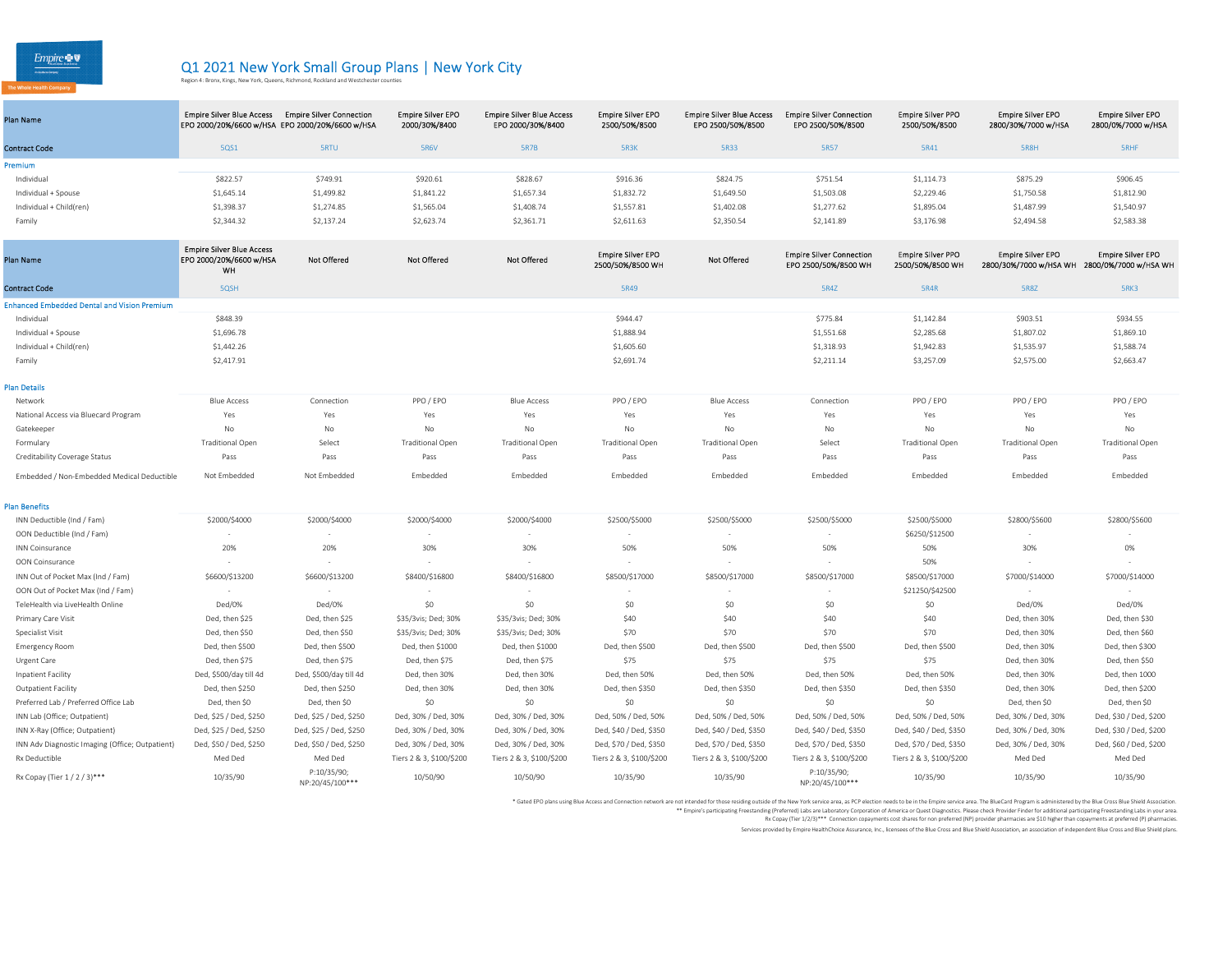$Empire \otimes \nabla$ 

## Q1 2021 New York Small Group Plans | New York City<br>Region 4: Bronx, Kings, New York, Queens, Richmond, Rockland and Westchester counties

| Plan Name               | <b>Empire Silver Blue Access</b><br>EPO 2000/20%/6600 w/HSA EPO 2000/20%/6600 w/HSA | <b>Empire Silver Connection</b> | <b>Empire Silver EPO</b><br>2000/30%/8400 | <b>Empire Silver Blue Access</b><br>EPO 2000/30%/8400 | <b>Empire Silver EPO</b><br>2500/50%/8500    | <b>Empire Silver Blue Access</b><br>EPO 2500/50%/8500 | <b>Empire Silver Connection</b><br>EPO 2500/50%/8500    | <b>Empire Silver PPO</b><br>2500/50%/8500    | <b>Empire Silver EPO</b><br>2800/30%/7000 w/HSA    | <b>Empire Silver EPO</b><br>2800/0%/7000 w/HSA    |
|-------------------------|-------------------------------------------------------------------------------------|---------------------------------|-------------------------------------------|-------------------------------------------------------|----------------------------------------------|-------------------------------------------------------|---------------------------------------------------------|----------------------------------------------|----------------------------------------------------|---------------------------------------------------|
| <b>Contract Code</b>    | <b>5QS1</b>                                                                         | <b>SRTU</b>                     | <b>5R6V</b>                               | 5R7B                                                  | 5R3K                                         | <b>5R33</b>                                           | 5R57                                                    | 5R41                                         | 5R8H                                               | <b>SRHF</b>                                       |
| Premium                 |                                                                                     |                                 |                                           |                                                       |                                              |                                                       |                                                         |                                              |                                                    |                                                   |
| Individual              | \$822.57                                                                            | \$749.91                        | \$920.61                                  | \$828.67                                              | \$916.36                                     | \$824.75                                              | \$751.54                                                | \$1,114.73                                   | \$875.29                                           | \$906.45                                          |
| Individual + Spouse     | \$1,645.14                                                                          | \$1,499.82                      | \$1,841.22                                | \$1,657.34                                            | \$1,832.72                                   | \$1,649.50                                            | \$1,503.08                                              | \$2,229.46                                   | \$1,750.58                                         | \$1,812.90                                        |
| Individual + Child(ren) | \$1,398.37                                                                          | \$1,274.85                      | \$1,565.04                                | \$1,408.74                                            | \$1,557.81                                   | \$1,402.08                                            | \$1,277.62                                              | \$1,895.04                                   | \$1,487.99                                         | \$1,540.97                                        |
| Family                  | \$2,344.32                                                                          | \$2,137.24                      | \$2,623.74                                | \$2,361.71                                            | \$2,611.63                                   | \$2,350.54                                            | \$2,141.89                                              | \$3,176.98                                   | \$2,494.58                                         | \$2,583.38                                        |
|                         |                                                                                     |                                 |                                           |                                                       |                                              |                                                       |                                                         |                                              |                                                    |                                                   |
| Plan Name               | <b>Empire Silver Blue Access</b><br>EPO 2000/20%/6600 w/HSA<br>WH                   | <b>Not Offered</b>              | <b>Not Offered</b>                        | <b>Not Offered</b>                                    | <b>Empire Silver EPO</b><br>2500/50%/8500 WH | Not Offered                                           | <b>Empire Silver Connection</b><br>EPO 2500/50%/8500 WH | <b>Empire Silver PPO</b><br>2500/50%/8500 WH | <b>Empire Silver EPO</b><br>2800/30%/7000 w/HSA WH | <b>Empire Silver EPO</b><br>2800/0%/7000 w/HSA WH |
| <b>Contract Code</b>    | 5QSH                                                                                |                                 |                                           |                                                       | 5R49                                         |                                                       | 5R4Z                                                    | <b>5R4R</b>                                  | <b>5R8Z</b>                                        | 5RK3                                              |

| <b>Contract Code</b>                               | 5QSH       | 5R49       | <b>5R4Z</b> | <b>5R4R</b> | <b>SR8Z</b> | 5RK3       |
|----------------------------------------------------|------------|------------|-------------|-------------|-------------|------------|
| <b>Enhanced Embedded Dental and Vision Premium</b> |            |            |             |             |             |            |
| Individual                                         | \$848.39   | \$944.47   | \$775.84    | \$1,142.84  | \$903.51    | \$934.55   |
| Individual + Spouse                                | \$1,696.78 | \$1,888.94 | \$1,551.68  | \$2,285.68  | \$1,807.02  | \$1,869.10 |
| Individual + Child(ren)                            | \$1,442.26 | \$1,605.60 | \$1,318.93  | \$1,942.83  | \$1,535.97  | \$1,588.74 |
| Family                                             | \$2,417.91 | \$2,691.74 | \$2,211.14  | \$3,257.09  | \$2,575.00  | \$2,663.47 |
|                                                    |            |            |             |             |             |            |
| <b>Plan Details</b>                                |            |            |             |             |             |            |

| Network                                    | <b>Blue Access</b>      | Connection   | PPO / EPO               | <b>Blue Access</b> | PPO / EPO               | <b>Blue Access</b>      | Connection | PPO / EPO               | PPO / EPO               | PPO / EPO               |
|--------------------------------------------|-------------------------|--------------|-------------------------|--------------------|-------------------------|-------------------------|------------|-------------------------|-------------------------|-------------------------|
| National Access via Bluecard Program       | Yes                     | Yes          | Yes                     | Yes                | Yes                     | Yes                     | Yes        | Yes                     | Yes                     | Yes                     |
| Gatekeeper                                 | No                      | No           | No                      | No                 |                         | Nc                      | No         |                         | No                      | No                      |
| Formulary                                  | <b>Traditional Open</b> | Select       | <b>Traditional Open</b> | Fraditional Open   | <b>Traditional Open</b> | <b>Traditional Open</b> | Select     | <b>Traditional Open</b> | <b>Traditional Open</b> | <b>Traditional Open</b> |
| Creditability Coverage Status              | Pass                    | Pass         | Pass                    | Pass               | Pass                    | Pass                    | Pass       | Pass                    | Pass                    | Pass                    |
| Embedded / Non-Embedded Medical Deductible | Not Embedded            | Not Embedded | Embedded                | Embedded           | Embedded                | Embedded                | Embedded   | Embedded                | Embedded                | Embedded                |

| <b>Plan Benefits</b>                            |                        |                                |                          |                          |                          |                          |                                |                          |                     |                        |
|-------------------------------------------------|------------------------|--------------------------------|--------------------------|--------------------------|--------------------------|--------------------------|--------------------------------|--------------------------|---------------------|------------------------|
| INN Deductible (Ind / Fam)                      | \$2000/\$4000          | \$2000/\$4000                  | \$2000/\$4000            | \$2000/\$4000            | \$2500/\$5000            | \$2500/\$5000            | \$2500/\$5000                  | \$2500/\$5000            | \$2800/\$5600       | \$2800/\$5600          |
| OON Deductible (Ind / Fam)                      | $\sim$                 |                                |                          |                          |                          | $\sim$                   |                                | \$6250/\$12500           |                     |                        |
| <b>INN Coinsurance</b>                          | 20%                    | 20%                            | 30%                      | 30%                      | 50%                      | 50%                      | 50%                            | 50%                      | 30%                 | 0%                     |
| OON Coinsurance                                 | $\sim$                 |                                | $\sim$                   |                          |                          | $\sim$                   |                                | 50%                      |                     |                        |
| INN Out of Pocket Max (Ind / Fam)               | \$6600/\$13200         | \$6600/\$13200                 | \$8400/\$16800           | \$8400/\$16800           | \$8500/\$17000           | \$8500/\$17000           | \$8500/\$17000                 | \$8500/\$17000           | \$7000/\$14000      | \$7000/\$14000         |
| OON Out of Pocket Max (Ind / Fam)               | $\sim$                 |                                |                          |                          |                          | $\sim$                   |                                | \$21250/\$42500          |                     |                        |
| TeleHealth via LiveHealth Online                | Ded/0%                 | Ded/0%                         | \$0                      | \$0                      | \$0                      | \$0                      | \$0                            | \$0                      | Ded/0%              | Ded/0%                 |
| Primary Care Visit                              | Ded, then \$25         | Ded, then \$25                 | \$35/3vis; Ded; 30%      | \$35/3vis; Ded; 30%      | \$40                     | \$40                     | \$40                           | \$40                     | Ded, then 30%       | Ded, then \$30         |
| Specialist Visit                                | Ded. then \$50         | Ded, then \$50                 | \$35/3vis; Ded; 30%      | \$35/3vis; Ded; 30%      | \$70                     | \$70                     | \$70                           | \$70                     | Ded, then 30%       | Ded, then \$60         |
| <b>Emergency Room</b>                           | Ded, then \$500        | Ded, then \$500                | Ded, then \$1000         | Ded, then \$1000         | Ded, then \$500          | Ded, then \$500          | Ded, then \$500                | Ded, then \$500          | Ded, then 30%       | Ded, then \$300        |
| Urgent Care                                     | Ded, then \$75         | Ded, then \$75                 | Ded, then \$75           | Ded, then \$75           | \$75                     | \$75                     | S75                            | \$75                     | Ded, then 30%       | Ded, then \$50         |
| Inpatient Facility                              | Ded, \$500/day till 4d | Ded, \$500/day till 4d         | Ded, then 30%            | Ded, then 30%            | Ded, then 50%            | Ded, then 50%            | Ded. then 50%                  | Ded, then 50%            | Ded, then 30%       | Ded, then 1000         |
| <b>Outpatient Facility</b>                      | Ded, then \$250        | Ded, then \$250                | Ded, then 30%            | Ded, then 30%            | Ded, then \$350          | Ded, then \$350          | Ded, then \$350                | Ded, then \$350          | Ded, then 30%       | Ded, then \$200        |
| Preferred Lab / Preferred Office Lab            | Ded, then \$0          | Ded, then \$0                  | \$0                      | \$0                      | \$0                      | \$0                      | SO                             | SO                       | Ded, then \$0       | Ded, then \$0          |
| INN Lab (Office: Outpatient)                    | Ded, \$25 / Ded, \$250 | Ded, \$25 / Ded, \$250         | Ded, 30% / Ded, 30%      | Ded, 30% / Ded, 30%      | Ded, 50% / Ded, 50%      | Ded, 50% / Ded, 50%      | Ded, 50% / Ded, 50%            | Ded, 50% / Ded, 50%      | Ded, 30% / Ded, 30% | Ded, \$30 / Ded, \$200 |
| INN X-Ray (Office; Outpatient)                  | Ded, \$25 / Ded, \$250 | Ded, \$25 / Ded, \$250         | Ded, 30% / Ded, 30%      | Ded, 30% / Ded, 30%      | Ded, \$40 / Ded, \$350   | Ded, \$40 / Ded, \$350   | Ded, \$40 / Ded, \$350         | Ded, \$40 / Ded, \$350   | Ded, 30% / Ded, 30% | Ded, \$30 / Ded, \$200 |
| INN Adv Diagnostic Imaging (Office; Outpatient) | Ded, \$50 / Ded, \$250 | Ded, \$50 / Ded, \$250         | Ded, 30% / Ded, 30%      | Ded, 30% / Ded, 30%      | Ded, \$70 / Ded, \$350   | Ded, \$70 / Ded, \$350   | Ded, \$70 / Ded, \$350         | Ded, \$70 / Ded, \$350   | Ded, 30% / Ded, 30% | Ded, \$60 / Ded, \$200 |
| Rx Deductible                                   | Med Ded                | Med Ded                        | Tiers 2 & 3, \$100/\$200 | Tiers 2 & 3, \$100/\$200 | Tiers 2 & 3, \$100/\$200 | Tiers 2 & 3, \$100/\$200 | Tiers 2 & 3, \$100/\$200       | Tiers 2 & 3, \$100/\$200 | Med Ded             | Med Ded                |
| Rx Copay (Tier 1 / 2 / 3)***                    | 10/35/90               | P:10/35/90;<br>NP:20/45/100*** | 10/50/90                 | 10/50/90                 | 10/35/90                 | 10/35/90                 | P:10/35/90;<br>NP:20/45/100*** | 10/35/90                 | 10/35/90            | 10/35/90               |

\* Gated EPO plans using Blue Access and Connection network are not intended or the the Wester Market area, as PCP ielction media to be in the Einpier service area. The BlueCard of Property and the finance of Predictional p

Rx Copay (Tier 1/2/3)\*\*\* Connection copayments cost shares for non preferred (NP) provider pharmacies are \$10 higher than copayments at preferred (P) pharmacies.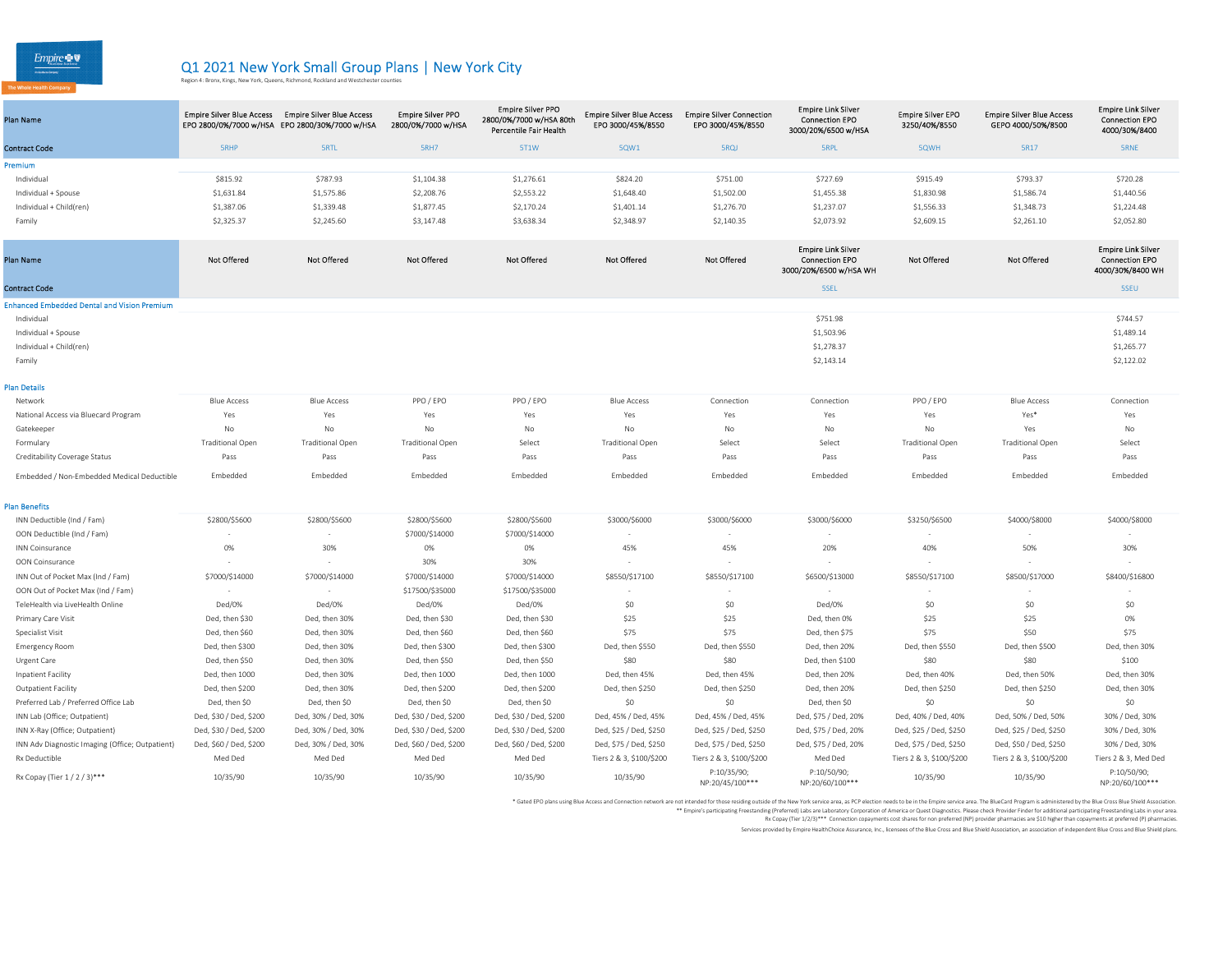$Empire \blacktriangleright \blacktriangledown$ 

## Q1 2021 New York Small Group Plans | New York City<br>Region 4: Bronx, Kings, New York, Queens, Richmond, Rockland and Westchester counties

| Plan Name                                          | Empire Silver Blue Access Empire Silver Blue Access | EPO 2800/0%/7000 w/HSA EPO 2800/30%/7000 w/HSA | <b>Empire Silver PPO</b><br>2800/0%/7000 w/HSA | <b>Empire Silver PPO</b><br>2800/0%/7000 w/HSA 80th<br>Percentile Fair Health | <b>Empire Silver Blue Access</b><br>EPO 3000/45%/8550 | <b>Empire Silver Connection</b><br>EPO 3000/45%/8550 | <b>Empire Link Silver</b><br><b>Connection EPO</b><br>3000/20%/6500 w/HSA    | <b>Empire Silver EPO</b><br>3250/40%/8550 | <b>Empire Silver Blue Access</b><br>GEPO 4000/50%/8500 | <b>Empire Link Silver</b><br><b>Connection EPO</b><br>4000/30%/8400    |
|----------------------------------------------------|-----------------------------------------------------|------------------------------------------------|------------------------------------------------|-------------------------------------------------------------------------------|-------------------------------------------------------|------------------------------------------------------|------------------------------------------------------------------------------|-------------------------------------------|--------------------------------------------------------|------------------------------------------------------------------------|
| <b>Contract Code</b>                               | <b>SRHP</b>                                         | <b>SRTL</b>                                    | <b>5RH7</b>                                    | 5T1W                                                                          | 5QW1                                                  | 5RQJ                                                 | <b>SRPL</b>                                                                  | 5QWH                                      | 5R17                                                   | <b>SRNE</b>                                                            |
| Premium                                            |                                                     |                                                |                                                |                                                                               |                                                       |                                                      |                                                                              |                                           |                                                        |                                                                        |
| Individual                                         | \$815.92                                            | \$787.93                                       | \$1,104.38                                     | \$1,276.61                                                                    | \$824.20                                              | \$751.00                                             | \$727.69                                                                     | \$915.49                                  | \$793.37                                               | \$720.28                                                               |
| Individual + Spouse                                | \$1,631.84                                          | \$1,575.86                                     | \$2,208.76                                     | \$2,553.22                                                                    | \$1,648.40                                            | \$1,502.00                                           | \$1,455.38                                                                   | \$1,830.98                                | \$1,586.74                                             | \$1,440.56                                                             |
| Individual + Child(ren)                            | \$1,387.06                                          | \$1,339.48                                     | \$1,877.45                                     | \$2,170.24                                                                    | \$1,401.14                                            | \$1,276.70                                           | \$1,237.07                                                                   | \$1,556.33                                | \$1,348.73                                             | \$1,224.48                                                             |
| Family                                             | \$2,325.37                                          | \$2,245.60                                     | \$3,147.48                                     | \$3,638.34                                                                    | \$2,348.97                                            | \$2,140.35                                           | \$2,073.92                                                                   | \$2,609.15                                | \$2,261.10                                             | \$2,052.80                                                             |
| <b>Plan Name</b>                                   | <b>Not Offered</b>                                  | <b>Not Offered</b>                             | <b>Not Offered</b>                             | <b>Not Offered</b>                                                            | <b>Not Offered</b>                                    | <b>Not Offered</b>                                   | <b>Empire Link Silver</b><br><b>Connection EPO</b><br>3000/20%/6500 w/HSA WH | <b>Not Offered</b>                        | <b>Not Offered</b>                                     | <b>Empire Link Silver</b><br><b>Connection EPO</b><br>4000/30%/8400 WH |
| <b>Contract Code</b>                               |                                                     |                                                |                                                |                                                                               |                                                       |                                                      | 5SEL                                                                         |                                           |                                                        | 5SEU                                                                   |
| <b>Enhanced Embedded Dental and Vision Premium</b> |                                                     |                                                |                                                |                                                                               |                                                       |                                                      |                                                                              |                                           |                                                        |                                                                        |
| Individual                                         |                                                     |                                                |                                                |                                                                               |                                                       |                                                      | \$751.98                                                                     |                                           |                                                        | \$744.57                                                               |
| Individual + Spouse                                |                                                     |                                                |                                                |                                                                               |                                                       |                                                      | \$1,503.96                                                                   |                                           |                                                        | \$1,489.14                                                             |
| Individual + Child(ren)                            |                                                     |                                                |                                                |                                                                               |                                                       |                                                      | \$1,278.37                                                                   |                                           |                                                        | \$1,265.77                                                             |
| Family                                             |                                                     |                                                |                                                |                                                                               |                                                       |                                                      | \$2,143.14                                                                   |                                           |                                                        | \$2,122.02                                                             |
| Plan Details                                       |                                                     |                                                |                                                |                                                                               |                                                       |                                                      |                                                                              |                                           |                                                        |                                                                        |
| Network                                            | <b>Blue Access</b>                                  | <b>Blue Access</b>                             | PPO / EPO                                      | PPO / EPO                                                                     | <b>Blue Access</b>                                    | Connection                                           | Connection                                                                   | PPO / EPO                                 | <b>Blue Access</b>                                     | Connection                                                             |
| National Access via Bluecard Program               | Yes                                                 | Yes                                            | Yes                                            | Yes                                                                           | Yes                                                   | Yes                                                  | Yes                                                                          | Yes                                       | Yes*                                                   | Yes                                                                    |
| Gatekeeper                                         | No                                                  | No                                             | <b>No</b>                                      | No                                                                            | No                                                    | No                                                   | No                                                                           | No                                        | Yes                                                    | No                                                                     |
| Formulary                                          | <b>Traditional Open</b>                             | <b>Traditional Open</b>                        | <b>Traditional Open</b>                        | Select                                                                        | <b>Traditional Open</b>                               | Select                                               | Select                                                                       | <b>Traditional Open</b>                   | <b>Traditional Open</b>                                | Select                                                                 |
| Creditability Coverage Status                      | Pass                                                | Pass                                           | Pass                                           | Pass                                                                          | Pass                                                  | Pass                                                 | Pass                                                                         | Pass                                      | Pass                                                   | Pass                                                                   |
| Embedded / Non-Embedded Medical Deductible         | Embedded                                            | Embedded                                       | Embedded                                       | Embedded                                                                      | Embedded                                              | Embedded                                             | Embedded                                                                     | Embedded                                  | Embedded                                               | Embedded                                                               |
| <b>Plan Benefits</b>                               |                                                     |                                                |                                                |                                                                               |                                                       |                                                      |                                                                              |                                           |                                                        |                                                                        |
| INN Deductible (Ind / Fam)                         | \$2800/\$5600                                       | \$2800/\$5600                                  | \$2800/\$5600                                  | \$2800/\$5600                                                                 | \$3000/\$6000                                         | \$3000/\$6000                                        | \$3000/\$6000                                                                | \$3250/\$6500                             | \$4000/\$8000                                          | \$4000/\$8000                                                          |
| OON Deductible (Ind / Fam)                         |                                                     |                                                | \$7000/\$14000                                 | \$7000/\$14000                                                                |                                                       |                                                      |                                                                              |                                           |                                                        |                                                                        |
| <b>INN Coinsurance</b>                             | 0%                                                  | 30%                                            | 0%                                             | 0%                                                                            | 45%                                                   | 45%                                                  | 20%                                                                          | 40%                                       | 50%                                                    | 30%                                                                    |
| OON Coinsurance                                    |                                                     |                                                | 30%                                            | 30%                                                                           |                                                       |                                                      |                                                                              |                                           |                                                        |                                                                        |
| INN Out of Pocket Max (Ind / Fam)                  | \$7000/\$14000                                      | \$7000/\$14000                                 | \$7000/\$14000                                 | \$7000/\$14000                                                                | \$8550/\$17100                                        | \$8550/\$17100                                       | \$6500/\$13000                                                               | \$8550/\$17100                            | \$8500/\$17000                                         | \$8400/\$16800                                                         |
| OON Out of Pocket Max (Ind / Fam)                  |                                                     |                                                | \$17500/\$35000                                | \$17500/\$35000                                                               |                                                       |                                                      |                                                                              |                                           |                                                        |                                                                        |
| TeleHealth via LiveHealth Online                   | Ded/0%                                              | Ded/0%                                         | Ded/0%                                         | Ded/0%                                                                        | \$0                                                   | \$0                                                  | Ded/0%                                                                       | \$0                                       | \$0                                                    | \$0                                                                    |
| Primary Care Visit                                 | Ded, then \$30                                      | Ded, then 30%                                  | Ded, then \$30                                 | Ded, then \$30                                                                | \$25                                                  | \$25                                                 | Ded, then 0%                                                                 | \$25                                      | \$25                                                   | 0%                                                                     |
| Specialist Visit                                   | Ded, then \$60                                      | Ded, then 30%                                  | Ded, then \$60                                 | Ded, then \$60                                                                | \$75                                                  | \$75                                                 | Ded, then \$75                                                               | \$75                                      | \$50                                                   | \$75                                                                   |
| <b>Emergency Room</b>                              | Ded, then \$300                                     | Ded, then 30%                                  | Ded, then \$300                                | Ded, then \$300                                                               | Ded, then \$550                                       | Ded, then \$550                                      | Ded, then 20%                                                                | Ded, then \$550                           | Ded, then \$500                                        | Ded, then 30%                                                          |
| Urgent Care                                        | Ded, then \$50                                      | Ded, then 30%                                  | Ded, then \$50                                 | Ded, then \$50                                                                | \$80                                                  | \$80                                                 | Ded, then \$100                                                              | \$80                                      | \$80                                                   | \$100                                                                  |
| Inpatient Facility                                 | Ded, then 1000                                      | Ded, then 30%                                  | Ded, then 1000                                 | Ded, then 1000                                                                | Ded, then 45%                                         | Ded, then 45%                                        | Ded, then 20%                                                                | Ded, then 40%                             | Ded, then 50%                                          | Ded, then 30%                                                          |
| <b>Outpatient Facility</b>                         | Ded, then \$200                                     | Ded, then 30%                                  | Ded, then \$200                                | Ded, then \$200                                                               | Ded, then \$250                                       | Ded, then \$250                                      | Ded, then 20%                                                                | Ded, then \$250                           | Ded, then \$250                                        | Ded, then 30%                                                          |
| Preferred Lab / Preferred Office Lab               | Ded, then \$0                                       | Ded, then \$0                                  | Ded, then \$0                                  | Ded, then \$0                                                                 | \$0                                                   | \$0                                                  | Ded, then \$0                                                                | \$0                                       | \$0                                                    | \$0                                                                    |
| INN Lab (Office; Outpatient)                       | Ded, \$30 / Ded, \$200                              | Ded, 30% / Ded, 30%                            | Ded, \$30 / Ded, \$200                         | Ded, \$30 / Ded, \$200                                                        | Ded, 45% / Ded, 45%                                   | Ded, 45% / Ded, 45%                                  | Ded, \$75 / Ded, 20%                                                         | Ded, 40% / Ded, 40%                       | Ded, 50% / Ded, 50%                                    | 30% / Ded, 30%                                                         |
| INN X-Ray (Office; Outpatient)                     | Ded, \$30 / Ded, \$200                              | Ded, 30% / Ded, 30%                            | Ded, \$30 / Ded, \$200                         | Ded, \$30 / Ded, \$200                                                        | Ded, \$25 / Ded, \$250                                | Ded, \$25 / Ded, \$250                               | Ded, \$75 / Ded, 20%                                                         | Ded, \$25 / Ded, \$250                    | Ded, \$25 / Ded, \$250                                 | 30% / Ded, 30%                                                         |
| INN Adv Diagnostic Imaging (Office; Outpatient)    | Ded, \$60 / Ded, \$200                              | Ded, 30% / Ded, 30%                            | Ded, \$60 / Ded, \$200                         | Ded, \$60 / Ded, \$200                                                        | Ded, \$75 / Ded, \$250                                | Ded, \$75 / Ded, \$250                               | Ded, \$75 / Ded, 20%                                                         | Ded, \$75 / Ded, \$250                    | Ded, \$50 / Ded, \$250                                 | 30% / Ded, 30%                                                         |
| Rx Deductible                                      | Med Ded                                             | Med Ded                                        | Med Ded                                        | Med Ded                                                                       | Tiers 2 & 3, \$100/\$200                              | Tiers 2 & 3, \$100/\$200                             | Med Ded                                                                      | Tiers 2 & 3, \$100/\$200                  | Tiers 2 & 3, \$100/\$200                               | Tiers 2 & 3, Med Ded                                                   |
| Rx Copay (Tier 1 / 2 / 3)***                       | 10/35/90                                            | 10/35/90                                       | 10/35/90                                       | 10/35/90                                                                      | 10/35/90                                              | P:10/35/90;<br>NP:20/45/100***                       | P:10/50/90;<br>NP:20/60/100***                                               | 10/35/90                                  | 10/35/90                                               | P:10/50/90;<br>NP:20/60/100***                                         |

\* Gated EPO plans using Blue Access and Connection network are not intended or the the Wester Market area, as PCP ielction media to be in the Einpier service area. The BlueCard of Property and the finance of Predictional p

Rx Copay (Tier 1/2/3)\*\*\* Connection copayments cost shares for non preferred (NP) provider pharmacies are \$10 higher than copayments at preferred (P) pharmacies.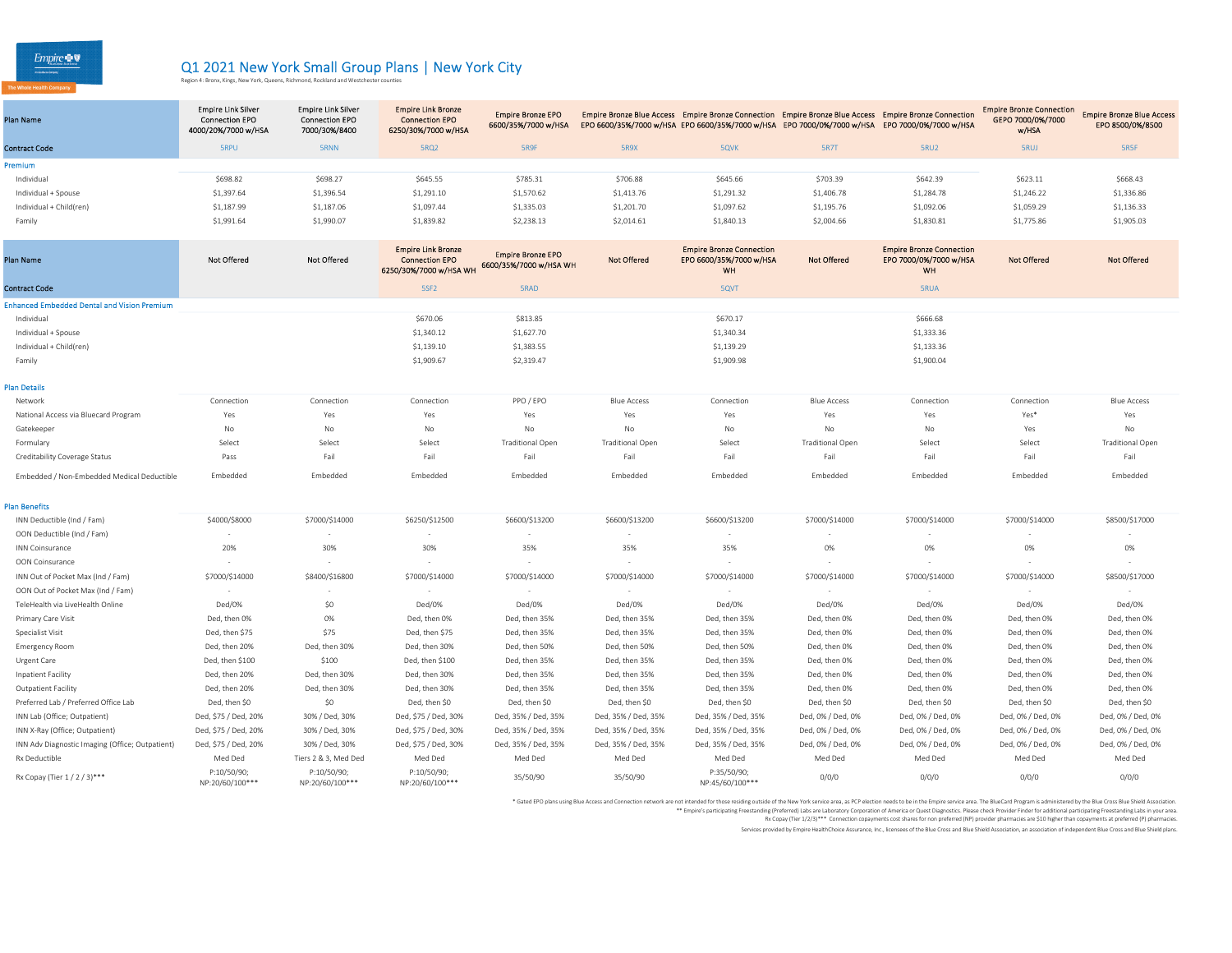$Empire \otimes \nabla$ 

## Q1 2021 New York Small Group Plans | New York City<br>Region 4: Bronx, Kings, New York, Queens, Richmond, Rockland and Westchester counties

| Plan Name                                          | <b>Empire Link Silver</b><br><b>Connection EPO</b><br>4000/20%/7000 w/HSA | <b>Empire Link Silver</b><br><b>Connection EPO</b><br>7000/30%/8400 | <b>Empire Link Bronze</b><br><b>Connection EPO</b><br>6250/30%/7000 w/HSA    | <b>Empire Bronze EPO</b><br>6600/35%/7000 w/HSA    |                         | Empire Bronze Blue Access Empire Bronze Connection Empire Bronze Blue Access Empire Bronze Connection<br>EPO 6600/35%/7000 w/HSA EPO 6600/35%/7000 w/HSA EPO 7000/0%/7000 w/HSA EPO 7000/0%/7000 w/HSA |                         |                                                                        | <b>Empire Bronze Connection</b><br>GEPO 7000/0%/7000<br>w/HSA | <b>Empire Bronze Blue Access</b><br>EPO 8500/0%/8500 |
|----------------------------------------------------|---------------------------------------------------------------------------|---------------------------------------------------------------------|------------------------------------------------------------------------------|----------------------------------------------------|-------------------------|--------------------------------------------------------------------------------------------------------------------------------------------------------------------------------------------------------|-------------------------|------------------------------------------------------------------------|---------------------------------------------------------------|------------------------------------------------------|
| <b>Contract Code</b>                               | <b>SRPU</b>                                                               | <b>5RNN</b>                                                         | 5RQ2                                                                         | 5R9F                                               | 5R9X                    | 5QVK                                                                                                                                                                                                   | <b>5R7T</b>             | 5RU2                                                                   | <b>SRUJ</b>                                                   | 5R5F                                                 |
| remium                                             |                                                                           |                                                                     |                                                                              |                                                    |                         |                                                                                                                                                                                                        |                         |                                                                        |                                                               |                                                      |
| Individual                                         | \$698.82                                                                  | \$698.27                                                            | \$645.55                                                                     | \$785.31                                           | \$706.88                | \$645.66                                                                                                                                                                                               | \$703.39                | \$642.39                                                               | \$623.11                                                      | \$668.43                                             |
| Individual + Spouse                                | \$1,397.64                                                                | \$1,396.54                                                          | \$1,291.10                                                                   | \$1,570.62                                         | \$1,413.76              | \$1,291.32                                                                                                                                                                                             | \$1,406.78              | \$1,284.78                                                             | \$1,246.22                                                    | \$1,336.86                                           |
| Individual + Child(ren)                            | \$1,187.99                                                                | \$1,187.06                                                          | \$1,097.44                                                                   | \$1,335.03                                         | \$1,201.70              | \$1,097.62                                                                                                                                                                                             | \$1,195.76              | \$1,092.06                                                             | \$1,059.29                                                    | \$1,136.33                                           |
| Family                                             | \$1,991.64                                                                | \$1,990.07                                                          | \$1,839.82                                                                   | \$2,238.13                                         | \$2,014.61              | \$1,840.13                                                                                                                                                                                             | \$2,004.66              | \$1,830.81                                                             | \$1,775.86                                                    | \$1,905.03                                           |
| Plan Name                                          | <b>Not Offered</b>                                                        | Not Offered                                                         | <b>Empire Link Bronze</b><br><b>Connection EPO</b><br>6250/30%/7000 w/HSA WH | <b>Empire Bronze EPO</b><br>6600/35%/7000 w/HSA WH | <b>Not Offered</b>      | <b>Empire Bronze Connection</b><br>EPO 6600/35%/7000 w/HSA<br>WH                                                                                                                                       | <b>Not Offered</b>      | <b>Empire Bronze Connection</b><br>EPO 7000/0%/7000 w/HSA<br><b>WH</b> | <b>Not Offered</b>                                            | <b>Not Offered</b>                                   |
| <b>Contract Code</b>                               |                                                                           |                                                                     | 5SF <sub>2</sub>                                                             | 5RAD                                               |                         | 5QVT                                                                                                                                                                                                   |                         | 5RUA                                                                   |                                                               |                                                      |
| <b>Enhanced Embedded Dental and Vision Premium</b> |                                                                           |                                                                     |                                                                              |                                                    |                         |                                                                                                                                                                                                        |                         |                                                                        |                                                               |                                                      |
| Individual                                         |                                                                           |                                                                     | \$670.06                                                                     | \$813.85                                           |                         | \$670.17                                                                                                                                                                                               |                         | \$666.68                                                               |                                                               |                                                      |
| Individual + Spouse                                |                                                                           |                                                                     | \$1,340.12                                                                   | \$1,627.70                                         |                         | \$1,340.34                                                                                                                                                                                             |                         | \$1,333.36                                                             |                                                               |                                                      |
| Individual + Child(ren)                            |                                                                           |                                                                     | \$1,139.10                                                                   | \$1,383.55                                         |                         | \$1,139.29                                                                                                                                                                                             |                         | \$1,133.36                                                             |                                                               |                                                      |
| Family                                             |                                                                           |                                                                     | \$1,909.67                                                                   | \$2,319.47                                         |                         | \$1,909.98                                                                                                                                                                                             |                         | \$1,900.04                                                             |                                                               |                                                      |
| <b>lan Details</b>                                 |                                                                           |                                                                     |                                                                              |                                                    |                         |                                                                                                                                                                                                        |                         |                                                                        |                                                               |                                                      |
| Network                                            | Connection                                                                | Connection                                                          | Connection                                                                   | PPO / EPO                                          | <b>Blue Access</b>      | Connection                                                                                                                                                                                             | <b>Blue Access</b>      | Connection                                                             | Connection                                                    | <b>Blue Access</b>                                   |
| National Access via Bluecard Program               | Yes                                                                       | Yes                                                                 | Yes                                                                          | Yes                                                | Yes                     | Yes                                                                                                                                                                                                    | Yes                     | Yes                                                                    | Yes*                                                          | Yes                                                  |
| Gatekeeper                                         | No                                                                        | No                                                                  | No                                                                           | No                                                 | No                      | No                                                                                                                                                                                                     | No                      | No                                                                     | Yes                                                           | No                                                   |
| Formulary                                          | Select                                                                    | Select                                                              | Select                                                                       | <b>Traditional Open</b>                            | <b>Traditional Open</b> | Select                                                                                                                                                                                                 | <b>Traditional Open</b> | Select                                                                 | Select                                                        | <b>Traditional Open</b>                              |
| Creditability Coverage Status                      | Pass                                                                      | Fail                                                                | Fail                                                                         | Fail                                               | Fail                    | Fail                                                                                                                                                                                                   | Fail                    | Fail                                                                   | Fail                                                          | Fail                                                 |
| Embedded / Non-Embedded Medical Deductible         | Embedded                                                                  | Embedded                                                            | Embedded                                                                     | Embedded                                           | Embedded                | Embedded                                                                                                                                                                                               | Embedded                | Embedded                                                               | Embedded                                                      | Embedded                                             |
| lan Benefits                                       |                                                                           |                                                                     |                                                                              |                                                    |                         |                                                                                                                                                                                                        |                         |                                                                        |                                                               |                                                      |
| INN Deductible (Ind / Fam)                         | \$4000/\$8000                                                             | \$7000/\$14000                                                      | \$6250/\$12500                                                               | \$6600/\$13200                                     | \$6600/\$13200          | \$6600/\$13200                                                                                                                                                                                         | \$7000/\$14000          | \$7000/\$14000                                                         | \$7000/\$14000                                                | \$8500/\$17000                                       |
| OON Deductible (Ind / Fam)                         |                                                                           |                                                                     |                                                                              |                                                    |                         |                                                                                                                                                                                                        |                         |                                                                        |                                                               |                                                      |
| <b>INN Coinsurance</b>                             | 20%                                                                       | 30%                                                                 | 30%                                                                          | 35%                                                | 35%                     | 35%                                                                                                                                                                                                    | 0%                      | 0%                                                                     | 0%                                                            | 0%                                                   |
| OON Coinsurance                                    |                                                                           |                                                                     |                                                                              |                                                    |                         |                                                                                                                                                                                                        |                         |                                                                        |                                                               |                                                      |
| INN Out of Pocket Max (Ind / Fam)                  | \$7000/\$14000                                                            | \$8400/\$16800                                                      | \$7000/\$14000                                                               | \$7000/\$14000                                     | \$7000/\$14000          | \$7000/\$14000                                                                                                                                                                                         | \$7000/\$14000          | \$7000/\$14000                                                         | \$7000/\$14000                                                | \$8500/\$17000                                       |
| OON Out of Pocket Max (Ind / Fam)                  |                                                                           |                                                                     |                                                                              |                                                    |                         |                                                                                                                                                                                                        |                         | $\sim$                                                                 |                                                               |                                                      |
| TeleHealth via LiveHealth Online                   | Ded/0%                                                                    | \$0                                                                 | Ded/0%                                                                       | Ded/0%                                             | Ded/0%                  | Ded/0%                                                                                                                                                                                                 | Ded/0%                  | Ded/0%                                                                 | Ded/0%                                                        | Ded/0%                                               |
| Primary Care Visit                                 | Ded, then 0%                                                              | 0%                                                                  | Ded, then 0%                                                                 | Ded, then 35%                                      | Ded, then 35%           | Ded, then 35%                                                                                                                                                                                          | Ded, then 0%            | Ded, then 0%                                                           | Ded, then 0%                                                  | Ded, then 0%                                         |
| Specialist Visit                                   | Ded, then \$75                                                            | \$75                                                                | Ded, then \$75                                                               | Ded, then 35%                                      | Ded, then 35%           | Ded, then 35%                                                                                                                                                                                          | Ded, then 0%            | Ded, then 0%                                                           | Ded, then 0%                                                  | Ded, then 0%                                         |
| <b>Emergency Room</b>                              | Ded, then 20%                                                             | Ded, then 30%                                                       | Ded, then 30%                                                                | Ded, then 50%                                      | Ded, then 50%           | Ded, then 50%                                                                                                                                                                                          | Ded, then 0%            | Ded, then 0%                                                           | Ded, then 0%                                                  | Ded, then 0%                                         |
| Urgent Care                                        | Ded, then \$100                                                           | \$100                                                               | Ded, then \$100                                                              | Ded, then 35%                                      | Ded, then 35%           | Ded, then 35%                                                                                                                                                                                          | Ded, then 0%            | Ded, then 0%                                                           | Ded, then 0%                                                  | Ded, then 0%                                         |
| Inpatient Facility                                 | Ded, then 20%                                                             | Ded, then 30%                                                       | Ded, then 30%                                                                | Ded, then 35%                                      | Ded, then 35%           | Ded, then 35%                                                                                                                                                                                          | Ded, then 0%            | Ded, then 0%                                                           | Ded, then 0%                                                  | Ded, then 0%                                         |
| <b>Outpatient Facility</b>                         | Ded, then 20%                                                             | Ded, then 30%                                                       | Ded, then 30%                                                                | Ded, then 35%                                      | Ded, then 35%           | Ded, then 35%                                                                                                                                                                                          | Ded, then 0%            | Ded, then 0%                                                           | Ded, then 0%                                                  | Ded, then 0%                                         |
| Preferred Lab / Preferred Office Lab               | Ded, then \$0                                                             | \$0                                                                 | Ded, then \$0                                                                | Ded, then \$0                                      | Ded, then \$0           | Ded, then \$0                                                                                                                                                                                          | Ded, then \$0           | Ded, then \$0                                                          | Ded, then \$0                                                 | Ded, then \$0                                        |
| INN Lab (Office; Outpatient)                       | Ded, \$75 / Ded, 20%                                                      | 30% / Ded, 30%                                                      | Ded, \$75 / Ded, 30%                                                         | Ded, 35% / Ded, 35%                                | Ded, 35% / Ded, 35%     | Ded, 35% / Ded, 35%                                                                                                                                                                                    | Ded, 0% / Ded, 0%       | Ded, 0% / Ded, 0%                                                      | Ded, 0% / Ded, 0%                                             | Ded, 0% / Ded, 0%                                    |
| INN X-Ray (Office; Outpatient)                     | Ded, \$75 / Ded, 20%                                                      | 30% / Ded, 30%                                                      | Ded, \$75 / Ded, 30%                                                         | Ded, 35% / Ded, 35%                                | Ded, 35% / Ded, 35%     | Ded, 35% / Ded, 35%                                                                                                                                                                                    | Ded, 0% / Ded, 0%       | Ded, 0% / Ded, 0%                                                      | Ded, 0% / Ded, 0%                                             | Ded, 0% / Ded, 0%                                    |
| INN Adv Diagnostic Imaging (Office; Outpatient)    | Ded, \$75 / Ded, 20%                                                      | 30% / Ded, 30%                                                      | Ded, \$75 / Ded, 30%                                                         | Ded, 35% / Ded, 35%                                | Ded, 35% / Ded, 35%     | Ded, 35% / Ded, 35%                                                                                                                                                                                    | Ded, 0% / Ded, 0%       | Ded, 0% / Ded, 0%                                                      | Ded, 0% / Ded, 0%                                             | Ded, 0% / Ded, 0%                                    |
| Rx Deductible<br>Rx Copay (Tier 1 / 2 / 3)***      | Med Ded<br>P:10/50/90;                                                    | Tiers 2 & 3, Med Ded<br>P:10/50/90;                                 | Med Ded<br>P:10/50/90;                                                       | Med Ded<br>35/50/90                                | Med Ded<br>35/50/90     | Med Ded<br>P:35/50/90;                                                                                                                                                                                 | Med Ded<br>0/0/0        | Med Ded<br>0/0/0                                                       | Med Ded<br>0/0/0                                              | Med Ded<br>0/0/0                                     |
|                                                    | NP:20/60/100***                                                           | NP:20/60/100***                                                     | NP:20/60/100***                                                              |                                                    |                         | NP:45/60/100***                                                                                                                                                                                        |                         |                                                                        |                                                               |                                                      |

\* Gated EPO plans using Blue Access and Connection network are not intended or the the Wester Market area, as PCP ielction media to be in the Einpier service area. The BlueCard of Property and the finance of Predictional p

Rx Copay (Tier 1/2/3)\*\*\* Connection copayments cost shares for non preferred (NP) provider pharmacies are \$10 higher than copayments at preferred (P) pharmacies.